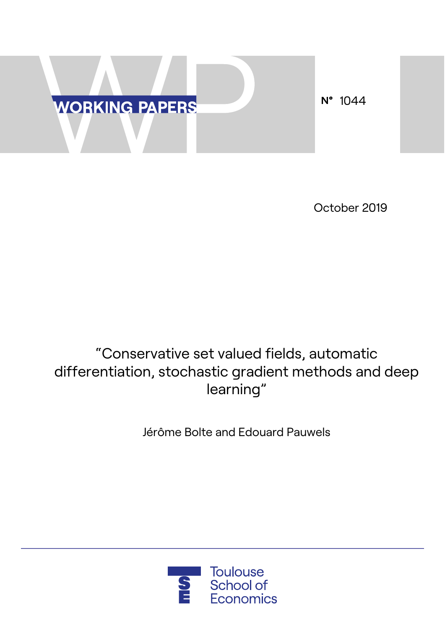

October 2019

# "Conservative set valued fields, automatic differentiation, stochastic gradient methods and deep learning"

Jérôme Bolte and Edouard Pauwels

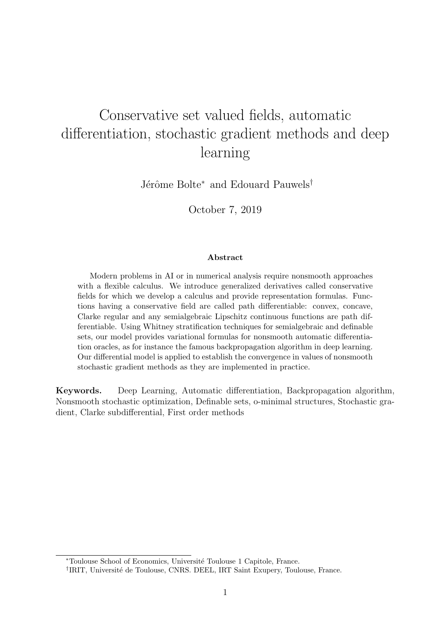# Conservative set valued fields, automatic differentiation, stochastic gradient methods and deep learning

Jérôme Bolte<sup>∗</sup> and Edouard Pauwels<sup>†</sup>

October 7, 2019

#### Abstract

Modern problems in AI or in numerical analysis require nonsmooth approaches with a flexible calculus. We introduce generalized derivatives called conservative fields for which we develop a calculus and provide representation formulas. Functions having a conservative field are called path differentiable: convex, concave, Clarke regular and any semialgebraic Lipschitz continuous functions are path differentiable. Using Whitney stratification techniques for semialgebraic and definable sets, our model provides variational formulas for nonsmooth automatic differentiation oracles, as for instance the famous backpropagation algorithm in deep learning. Our differential model is applied to establish the convergence in values of nonsmooth stochastic gradient methods as they are implemented in practice.

Keywords. Deep Learning, Automatic differentiation, Backpropagation algorithm, Nonsmooth stochastic optimization, Definable sets, o-minimal structures, Stochastic gradient, Clarke subdifferential, First order methods

<sup>∗</sup>Toulouse School of Economics, Universit´e Toulouse 1 Capitole, France.

<sup>&</sup>lt;sup>†</sup>IRIT, Université de Toulouse, CNRS. DEEL, IRT Saint Exupery, Toulouse, France.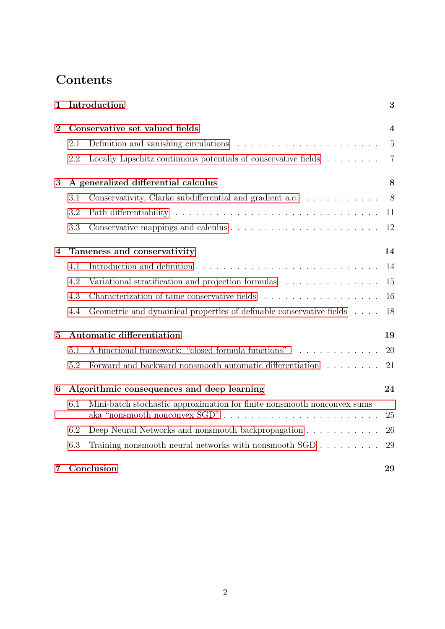# Contents

| $\mathbf{1}$   |                                            | Introduction                                                                             | 3                       |
|----------------|--------------------------------------------|------------------------------------------------------------------------------------------|-------------------------|
| $\overline{2}$ | Conservative set valued fields             |                                                                                          | $\overline{\mathbf{4}}$ |
|                | 2.1                                        | Definition and vanishing circulations $\ldots \ldots \ldots \ldots \ldots \ldots \ldots$ | 5                       |
|                | 2.2                                        | Locally Lipschitz continuous potentials of conservative fields $\ldots \ldots$           | $\overline{7}$          |
| 3              | A generalized differential calculus        |                                                                                          |                         |
|                | 3.1                                        | Conservativity, Clarke subdifferential and gradient a.e.                                 | 8                       |
|                | 3.2                                        |                                                                                          | 11                      |
|                | 3.3                                        |                                                                                          | 12                      |
| 4              | Tameness and conservativity                |                                                                                          | 14                      |
|                | 4.1                                        |                                                                                          | 14                      |
|                | 4.2                                        | Variational stratification and projection formulas                                       | 15                      |
|                | 4.3                                        | Characterization of tame conservative fields                                             | 16                      |
|                | 4.4                                        | Geometric and dynamical properties of definable conservative fields                      | 18                      |
| $\overline{5}$ | Automatic differentiation                  |                                                                                          | 19                      |
|                | 5.1                                        | A functional framework: "closed formula functions"<br>.                                  | 20                      |
|                | 5.2                                        | Forward and backward nonsmooth automatic differentiation $\ldots \ldots \ldots$          | 21                      |
| 6              | Algorithmic consequences and deep learning |                                                                                          | 24                      |
|                | 6.1                                        | Mini-batch stochastic approximation for finite nonsmooth nonconvex sums                  | 25                      |
|                | 6.2                                        | Deep Neural Networks and nonsmooth backpropagation                                       | 26                      |
|                | 6.3                                        | Training nonsmooth neural networks with nonsmooth $SGD$                                  | 29                      |
| 7              | Conclusion                                 |                                                                                          | 29                      |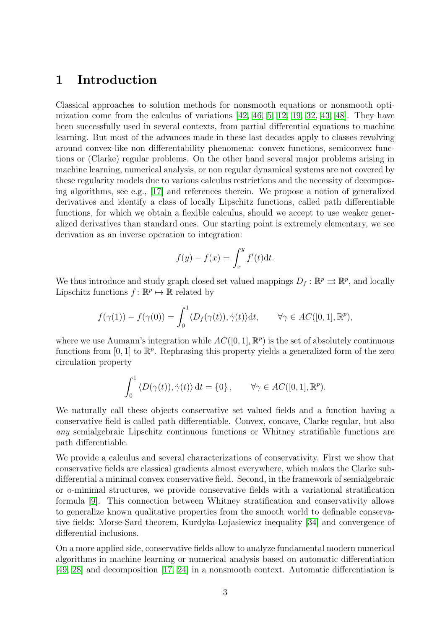## <span id="page-3-0"></span>1 Introduction

Classical approaches to solution methods for nonsmooth equations or nonsmooth optimization come from the calculus of variations [\[42,](#page-33-0) [46,](#page-33-1) [5,](#page-31-0) [12,](#page-31-1) [19,](#page-31-2) [32,](#page-32-0) [43,](#page-33-2) [48\]](#page-33-3). They have been successfully used in several contexts, from partial differential equations to machine learning. But most of the advances made in these last decades apply to classes revolving around convex-like non differentability phenomena: convex functions, semiconvex functions or (Clarke) regular problems. On the other hand several major problems arising in machine learning, numerical analysis, or non regular dynamical systems are not covered by these regularity models due to various calculus restrictions and the necessity of decomposing algorithms, see e.g., [\[17\]](#page-31-3) and references therein. We propose a notion of generalized derivatives and identify a class of locally Lipschitz functions, called path differentiable functions, for which we obtain a flexible calculus, should we accept to use weaker generalized derivatives than standard ones. Our starting point is extremely elementary, we see derivation as an inverse operation to integration:

$$
f(y) - f(x) = \int_x^y f'(t) \mathrm{d}t.
$$

We thus introduce and study graph closed set valued mappings  $D_f : \mathbb{R}^p \rightrightarrows \mathbb{R}^p$ , and locally Lipschitz functions  $f: \mathbb{R}^p \mapsto \mathbb{R}$  related by

$$
f(\gamma(1)) - f(\gamma(0)) = \int_0^1 \langle D_f(\gamma(t)), \dot{\gamma}(t) \rangle dt, \qquad \forall \gamma \in AC([0, 1], \mathbb{R}^p),
$$

where we use Aumann's integration while  $AC([0,1], \mathbb{R}^p)$  is the set of absolutely continuous functions from [0, 1] to  $\mathbb{R}^p$ . Rephrasing this property yields a generalized form of the zero circulation property

$$
\int_0^1 \langle D(\gamma(t)), \dot{\gamma}(t) \rangle dt = \{0\}, \qquad \forall \gamma \in AC([0, 1], \mathbb{R}^p).
$$

We naturally call these objects conservative set valued fields and a function having a conservative field is called path differentiable. Convex, concave, Clarke regular, but also any semialgebraic Lipschitz continuous functions or Whitney stratifiable functions are path differentiable.

We provide a calculus and several characterizations of conservativity. First we show that conservative fields are classical gradients almost everywhere, which makes the Clarke subdifferential a minimal convex conservative field. Second, in the framework of semialgebraic or o-minimal structures, we provide conservative fields with a variational stratification formula [\[9\]](#page-31-4). This connection between Whitney stratification and conservativity allows to generalize known qualitative properties from the smooth world to definable conservative fields: Morse-Sard theorem, Kurdyka-Lojasiewicz inequality [\[34\]](#page-32-1) and convergence of differential inclusions.

On a more applied side, conservative fields allow to analyze fundamental modern numerical algorithms in machine learning or numerical analysis based on automatic differentiation [\[49,](#page-33-4) [28\]](#page-32-2) and decomposition [\[17,](#page-31-3) [24\]](#page-32-3) in a nonsmooth context. Automatic differentiation is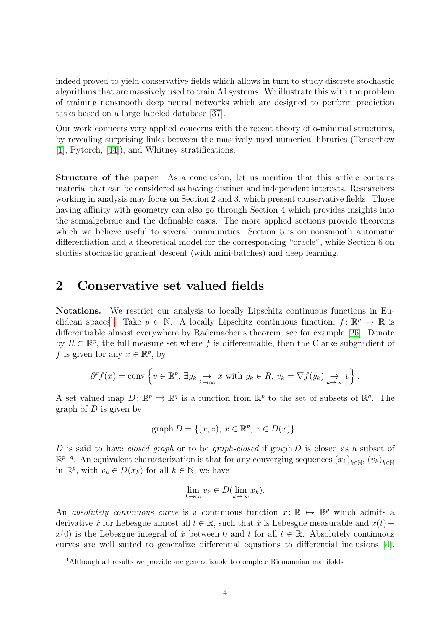indeed proved to yield conservative fields which allows in turn to study discrete stochastic algorithms that are massively used to train AI systems. We illustrate this with the problem of training nonsmooth deep neural networks which are designed to perform prediction tasks based on a large labeled database [\[37\]](#page-33-5).

Our work connects very applied concerns with the recent theory of o-minimal structures, by revealing surprising links between the massively used numerical libraries (Tensorflow [\[1\]](#page-30-0), Pytorch, [\[44\]](#page-33-6)), and Whitney stratifications.

Structure of the paper As a conclusion, let us mention that this article contains material that can be considered as having distinct and independent interests. Researchers working in analysis may focus on Section 2 and 3, which present conservative fields. Those having affinity with geometry can also go through Section 4 which provides insights into the semialgebraic and the definable cases. The more applied sections provide theorems which we believe useful to several communities: Section 5 is on nonsmooth automatic differentiation and a theoretical model for the corresponding "oracle", while Section 6 on studies stochastic gradient descent (with mini-batches) and deep learning.

## <span id="page-4-0"></span>2 Conservative set valued fields

Notations. We restrict our analysis to locally Lipschitz continuous functions in Eu-clidean spaces<sup>[1](#page-4-1)</sup>. Take  $p \in \mathbb{N}$ . A locally Lipschitz continuous function,  $f: \mathbb{R}^p \mapsto \mathbb{R}$  is differentiable almost everywhere by Rademacher's theorem, see for example [\[26\]](#page-32-4). Denote by  $R \subset \mathbb{R}^p$ , the full measure set where f is differentiable, then the Clarke subgradient of f is given for any  $x \in \mathbb{R}^p$ , by

$$
\partial^c f(x) = \text{conv}\left\{v \in \mathbb{R}^p, \exists y_k \underset{k \to \infty}{\to} x \text{ with } y_k \in R, v_k = \nabla f(y_k) \underset{k \to \infty}{\to} v\right\}.
$$

A set valued map  $D: \mathbb{R}^p \implies \mathbb{R}^q$  is a function from  $\mathbb{R}^p$  to the set of subsets of  $\mathbb{R}^q$ . The graph of  $D$  is given by

$$
graph D = \{(x, z), x \in \mathbb{R}^p, z \in D(x)\}.
$$

D is said to have *closed graph* or to be *graph-closed* if graph  $D$  is closed as a subset of  $\mathbb{R}^{p+q}$ . An equivalent characterization is that for any converging sequences  $(x_k)_{k\in\mathbb{N}}, (v_k)_{k\in\mathbb{N}}$ in  $\mathbb{R}^p$ , with  $v_k \in D(x_k)$  for all  $k \in \mathbb{N}$ , we have

$$
\lim_{k \to \infty} v_k \in D(\lim_{k \to \infty} x_k).
$$

An absolutely continuous curve is a continuous function  $x: \mathbb{R} \mapsto \mathbb{R}^p$  which admits a derivative  $\dot{x}$  for Lebesgue almost all  $t \in \mathbb{R}$ , such that  $\dot{x}$  is Lebesgue measurable and  $x(t)$  –  $x(0)$  is the Lebesgue integral of  $\dot{x}$  between 0 and t for all  $t \in \mathbb{R}$ . Absolutely continuous curves are well suited to generalize differential equations to differential inclusions [\[4\]](#page-31-5).

<span id="page-4-1"></span><sup>&</sup>lt;sup>1</sup>Although all results we provide are generalizable to complete Riemannian manifolds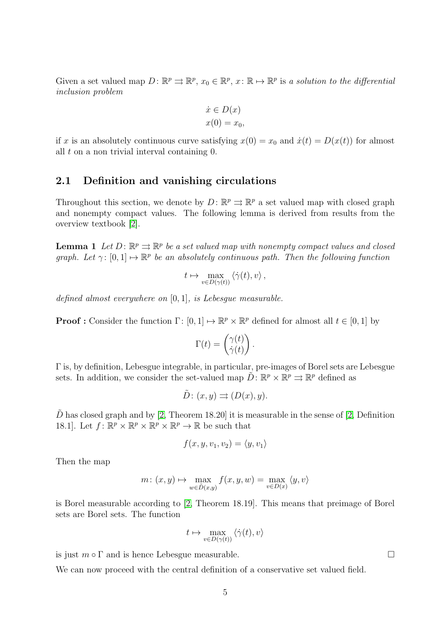Given a set valued map  $D: \mathbb{R}^p \to \mathbb{R}^p$ ,  $x_0 \in \mathbb{R}^p$ ,  $x: \mathbb{R} \mapsto \mathbb{R}^p$  is a solution to the differential inclusion problem

$$
\begin{aligned}\n\dot{x} &\in D(x) \\
x(0) &= x_0,\n\end{aligned}
$$

if x is an absolutely continuous curve satisfying  $x(0) = x_0$  and  $\dot{x}(t) = D(x(t))$  for almost all  $t$  on a non trivial interval containing  $0$ .

#### <span id="page-5-0"></span>2.1 Definition and vanishing circulations

Throughout this section, we denote by  $D: \mathbb{R}^p \rightrightarrows \mathbb{R}^p$  a set valued map with closed graph and nonempty compact values. The following lemma is derived from results from the overview textbook [\[2\]](#page-30-1).

<span id="page-5-1"></span>**Lemma 1** Let  $D: \mathbb{R}^p \rightrightarrows \mathbb{R}^p$  be a set valued map with nonempty compact values and closed graph. Let  $\gamma: [0,1] \mapsto \mathbb{R}^p$  be an absolutely continuous path. Then the following function

$$
t \mapsto \max_{v \in D(\gamma(t))} \langle \dot{\gamma}(t), v \rangle ,
$$

defined almost everywhere on [0, 1], is Lebesgue measurable.

**Proof**: Consider the function  $\Gamma: [0, 1] \mapsto \mathbb{R}^p \times \mathbb{R}^p$  defined for almost all  $t \in [0, 1]$  by

$$
\Gamma(t) = \begin{pmatrix} \gamma(t) \\ \dot{\gamma}(t) \end{pmatrix}.
$$

Γ is, by definition, Lebesgue integrable, in particular, pre-images of Borel sets are Lebesgue sets. In addition, we consider the set-valued map  $\tilde{D}$ :  $\mathbb{R}^p \times \mathbb{R}^p \Rightarrow \mathbb{R}^p$  defined as

$$
\tilde{D}: (x, y) \rightrightarrows (D(x), y).
$$

 $\tilde{D}$  has closed graph and by [\[2,](#page-30-1) Theorem 18.20] it is measurable in the sense of [2, Definition 18.1]. Let  $f: \mathbb{R}^p \times \mathbb{R}^p \times \mathbb{R}^p \times \mathbb{R}^p \to \mathbb{R}$  be such that

$$
f(x, y, v_1, v_2) = \langle y, v_1 \rangle
$$

Then the map

$$
m\colon (x,y)\mapsto \max_{w\in \tilde{D}(x,y)} f(x,y,w)=\max_{v\in D(x)} \langle y,v\rangle
$$

is Borel measurable according to [\[2,](#page-30-1) Theorem 18.19]. This means that preimage of Borel sets are Borel sets. The function

$$
t \mapsto \max_{v \in D(\gamma(t))} \langle \dot{\gamma}(t), v \rangle
$$

is just  $m \circ \Gamma$  and is hence Lebesgue measurable.

We can now proceed with the central definition of a conservative set valued field.

<span id="page-5-2"></span>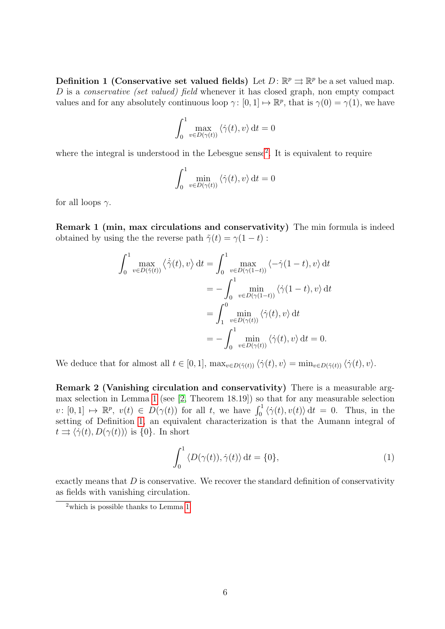**Definition 1 (Conservative set valued fields)** Let  $D: \mathbb{R}^p \rightrightarrows \mathbb{R}^p$  be a set valued map. D is a *conservative (set valued) field* whenever it has closed graph, non empty compact values and for any absolutely continuous loop  $\gamma: [0, 1] \mapsto \mathbb{R}^p$ , that is  $\gamma(0) = \gamma(1)$ , we have

$$
\int_0^1 \max_{v \in D(\gamma(t))} \langle \dot{\gamma}(t), v \rangle dt = 0
$$

where the integral is understood in the Lebesgue sense<sup>[2](#page-6-0)</sup>. It is equivalent to require

$$
\int_0^1 \min_{v \in D(\gamma(t))} \langle \dot{\gamma}(t), v \rangle dt = 0
$$

for all loops  $\gamma$ .

Remark 1 (min, max circulations and conservativity) The min formula is indeed obtained by using the the reverse path  $\tilde{\gamma}(t) = \gamma(1-t)$ :

$$
\int_0^1 \max_{v \in D(\tilde{\gamma}(t))} \langle \dot{\tilde{\gamma}}(t), v \rangle dt = \int_0^1 \max_{v \in D(\gamma(1-t))} \langle -\dot{\gamma}(1-t), v \rangle dt
$$
  
= 
$$
- \int_0^1 \min_{v \in D(\gamma(1-t))} \langle \dot{\gamma}(1-t), v \rangle dt
$$
  
= 
$$
\int_1^0 \min_{v \in D(\gamma(t))} \langle \dot{\gamma}(t), v \rangle dt
$$
  
= 
$$
- \int_0^1 \min_{v \in D(\gamma(t))} \langle \dot{\gamma}(t), v \rangle dt = 0.
$$

We deduce that for almost all  $t \in [0, 1]$ ,  $\max_{v \in D(\tilde{\gamma}(t))} \langle \dot{\gamma}(t), v \rangle = \min_{v \in D(\tilde{\gamma}(t))} \langle \dot{\gamma}(t), v \rangle$ .

Remark 2 (Vanishing circulation and conservativity) There is a measurable argmax selection in Lemma [1](#page-5-1) (see [\[2,](#page-30-1) Theorem 18.19]) so that for any measurable selection  $v: [0,1] \mapsto \mathbb{R}^p$ ,  $v(t) \in D(\gamma(t))$  for all t, we have  $\int_0^1 \langle \dot{\gamma}(t), v(t) \rangle dt = 0$ . Thus, in the setting of Definition [1,](#page-5-2) an equivalent characterization is that the Aumann integral of  $t \Rightarrow \langle \dot{\gamma}(t), D(\gamma(t)) \rangle$  is {0}. In short

<span id="page-6-1"></span>
$$
\int_0^1 \langle D(\gamma(t)), \dot{\gamma}(t) \rangle dt = \{0\},\tag{1}
$$

exactly means that  $D$  is conservative. We recover the standard definition of conservativity as fields with vanishing circulation.

<span id="page-6-0"></span> $\sqrt[2]{\frac{1}{2}}$  which is possible thanks to Lemma [1.](#page-5-1)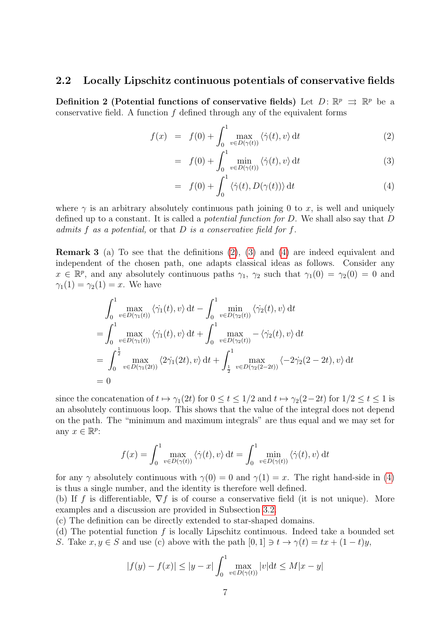#### <span id="page-7-0"></span>2.2 Locally Lipschitz continuous potentials of conservative fields

Definition 2 (Potential functions of conservative fields) Let  $D: \mathbb{R}^p \implies \mathbb{R}^p$  be a conservative field. A function  $f$  defined through any of the equivalent forms

<span id="page-7-1"></span>
$$
f(x) = f(0) + \int_0^1 \max_{v \in D(\gamma(t))} \langle \dot{\gamma}(t), v \rangle dt \tag{2}
$$

$$
= f(0) + \int_0^1 \min_{v \in D(\gamma(t))} \langle \dot{\gamma}(t), v \rangle dt \qquad (3)
$$

$$
= f(0) + \int_0^1 \langle \dot{\gamma}(t), D(\gamma(t)) \rangle dt \qquad (4)
$$

where  $\gamma$  is an arbitrary absolutely continuous path joining 0 to x, is well and uniquely defined up to a constant. It is called a potential function for D. We shall also say that D admits  $f$  as a potential, or that  $D$  is a conservative field for  $f$ .

Remark 3 (a) To see that the definitions [\(2\)](#page-7-1), [\(3\)](#page-7-1) and [\(4\)](#page-7-1) are indeed equivalent and independent of the chosen path, one adapts classical ideas as follows. Consider any  $x \in \mathbb{R}^p$ , and any absolutely continuous paths  $\gamma_1$ ,  $\gamma_2$  such that  $\gamma_1(0) = \gamma_2(0) = 0$  and  $\gamma_1(1) = \gamma_2(1) = x$ . We have

$$
\int_{0}^{1} \max_{v \in D(\gamma_{1}(t))} \langle \dot{\gamma}_{1}(t), v \rangle dt - \int_{0}^{1} \min_{v \in D(\gamma_{2}(t))} \langle \dot{\gamma}_{2}(t), v \rangle dt
$$
  
\n
$$
= \int_{0}^{1} \max_{v \in D(\gamma_{1}(t))} \langle \dot{\gamma}_{1}(t), v \rangle dt + \int_{0}^{1} \max_{v \in D(\gamma_{2}(t))} - \langle \dot{\gamma}_{2}(t), v \rangle dt
$$
  
\n
$$
= \int_{0}^{\frac{1}{2}} \max_{v \in D(\gamma_{1}(2t))} \langle 2\dot{\gamma}_{1}(2t), v \rangle dt + \int_{\frac{1}{2}}^{1} \max_{v \in D(\gamma_{2}(2-2t))} \langle -2\dot{\gamma}_{2}(2-2t), v \rangle dt
$$
  
\n
$$
= 0
$$

since the concatenation of  $t \mapsto \gamma_1(2t)$  for  $0 \le t \le 1/2$  and  $t \mapsto \gamma_2(2-2t)$  for  $1/2 \le t \le 1$  is an absolutely continuous loop. This shows that the value of the integral does not depend on the path. The "minimum and maximum integrals" are thus equal and we may set for any  $x \in \mathbb{R}^p$ :

$$
f(x) = \int_0^1 \max_{v \in D(\gamma(t))} \langle \dot{\gamma}(t), v \rangle dt = \int_0^1 \min_{v \in D(\gamma(t))} \langle \dot{\gamma}(t), v \rangle dt
$$

for any  $\gamma$  absolutely continuous with  $\gamma(0) = 0$  and  $\gamma(1) = x$ . The right hand-side in [\(4\)](#page-7-1) is thus a single number, and the identity is therefore well defined.

(b) If f is differentiable,  $\nabla f$  is of course a conservative field (it is not unique). More examples and a discussion are provided in Subsection [3.2.](#page-11-0)

(c) The definition can be directly extended to star-shaped domains.

(d) The potential function  $f$  is locally Lipschitz continuous. Indeed take a bounded set S. Take  $x, y \in S$  and use (c) above with the path  $[0, 1] \ni t \to \gamma(t) = tx + (1 - t)y$ ,

$$
|f(y) - f(x)| \le |y - x| \int_0^1 \max_{v \in D(\gamma(t))} |v| dt \le M|x - y|
$$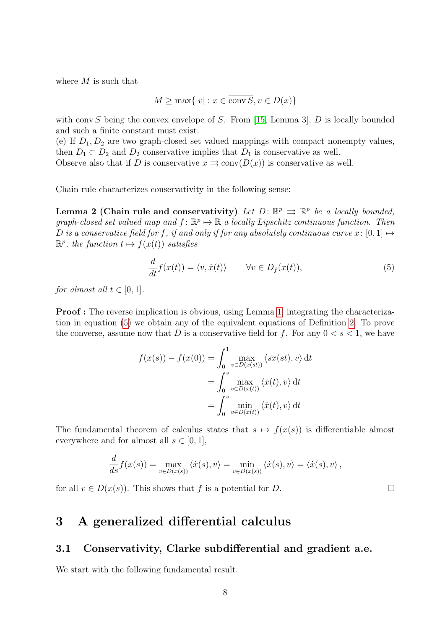where  $M$  is such that

$$
M \ge \max\{|v| : x \in \overline{\text{conv } S}, v \in D(x)\}\
$$

with conv S being the convex envelope of S. From [\[15,](#page-31-6) Lemma 3],  $D$  is locally bounded and such a finite constant must exist.

(e) If  $D_1, D_2$  are two graph-closed set valued mappings with compact nonempty values, then  $D_1 \subset D_2$  and  $D_2$  conservative implies that  $D_1$  is conservative as well. Observe also that if D is conservative  $x \implies \text{conv}(D(x))$  is conservative as well.

Chain rule characterizes conservativity in the following sense:

Lemma 2 (Chain rule and conservativity) Let  $D: \mathbb{R}^p \implies \mathbb{R}^p$  be a locally bounded, graph-closed set valued map and  $f: \mathbb{R}^p \mapsto \mathbb{R}$  a locally Lipschitz continuous function. Then D is a conservative field for f, if and only if for any absolutely continuous curve  $x: [0,1] \mapsto$  $\mathbb{R}^p$ , the function  $t \mapsto f(x(t))$  satisfies

<span id="page-8-2"></span>
$$
\frac{d}{dt}f(x(t)) = \langle v, \dot{x}(t) \rangle \qquad \forall v \in D_f(x(t)),\tag{5}
$$

for almost all  $t \in [0, 1]$ .

Proof : The reverse implication is obvious, using Lemma [1,](#page-5-1) integrating the characterization in equation [\(5\)](#page-8-2) we obtain any of the equivalent equations of Definition [2.](#page-7-1) To prove the converse, assume now that D is a conservative field for f. For any  $0 < s < 1$ , we have

$$
f(x(s)) - f(x(0)) = \int_0^1 \max_{v \in D(x(st))} \langle \dot{sx}(st), v \rangle dt
$$
  
= 
$$
\int_0^s \max_{v \in D(x(t))} \langle \dot{x}(t), v \rangle dt
$$
  
= 
$$
\int_0^s \min_{v \in D(x(t))} \langle \dot{x}(t), v \rangle dt
$$

The fundamental theorem of calculus states that  $s \mapsto f(x(s))$  is differentiable almost everywhere and for almost all  $s \in [0,1]$ ,

$$
\frac{d}{ds}f(x(s)) = \max_{v \in D(x(s))} \langle \dot{x}(s), v \rangle = \min_{v \in D(x(s))} \langle \dot{x}(s), v \rangle = \langle \dot{x}(s), v \rangle,
$$

for all  $v \in D(x(s))$ . This shows that f is a potential for D.

# <span id="page-8-0"></span>3 A generalized differential calculus

#### <span id="page-8-1"></span>3.1 Conservativity, Clarke subdifferential and gradient a.e.

<span id="page-8-3"></span>We start with the following fundamental result.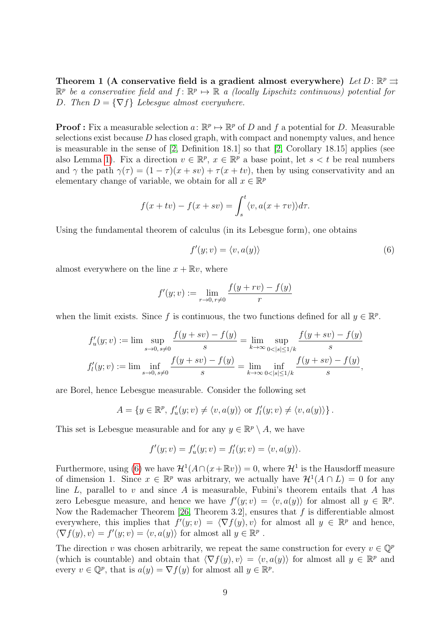Theorem 1 (A conservative field is a gradient almost everywhere) Let  $D: \mathbb{R}^p \rightrightarrows$  $\mathbb{R}^p$  be a conservative field and  $f: \mathbb{R}^p \mapsto \mathbb{R}$  a (locally Lipschitz continuous) potential for D. Then  $D = \{\nabla f\}$  Lebesque almost everywhere.

**Proof:** Fix a measurable selection  $a: \mathbb{R}^p \to \mathbb{R}^p$  of D and f a potential for D. Measurable selections exist because  $D$  has closed graph, with compact and nonempty values, and hence is measurable in the sense of [\[2,](#page-30-1) Definition 18.1] so that [\[2,](#page-30-1) Corollary 18.15] applies (see also Lemma [1\)](#page-5-1). Fix a direction  $v \in \mathbb{R}^p$ ,  $x \in \mathbb{R}^p$  a base point, let  $s < t$  be real numbers and  $\gamma$  the path  $\gamma(\tau) = (1 - \tau)(x + sv) + \tau(x + tv)$ , then by using conservativity and an elementary change of variable, we obtain for all  $x \in \mathbb{R}^p$ 

$$
f(x+tv) - f(x+sv) = \int_s^t \langle v, a(x+\tau v) \rangle d\tau.
$$

Using the fundamental theorem of calculus (in its Lebesgue form), one obtains

<span id="page-9-0"></span>
$$
f'(y; v) = \langle v, a(y) \rangle \tag{6}
$$

almost everywhere on the line  $x + \mathbb{R}v$ , where

$$
f'(y; v) := \lim_{r \to 0, r \neq 0} \frac{f(y + rv) - f(y)}{r}
$$

when the limit exists. Since f is continuous, the two functions defined for all  $y \in \mathbb{R}^p$ .

$$
f'_u(y; v) := \lim_{s \to 0, s \neq 0} \frac{f(y + sv) - f(y)}{s} = \lim_{k \to \infty} \sup_{0 < |s| \le 1/k} \frac{f(y + sv) - f(y)}{s}
$$
\n
$$
f'_l(y; v) := \lim_{s \to 0, s \neq 0} \frac{f(y + sv) - f(y)}{s} = \lim_{k \to \infty} \inf_{0 < |s| \le 1/k} \frac{f(y + sv) - f(y)}{s},
$$

are Borel, hence Lebesgue measurable. Consider the following set

$$
A = \{ y \in \mathbb{R}^p, f'_u(y; v) \neq \langle v, a(y) \rangle \text{ or } f'_l(y; v) \neq \langle v, a(y) \rangle \}.
$$

This set is Lebesgue measurable and for any  $y \in \mathbb{R}^p \setminus A$ , we have

$$
f'(y; v) = f'_u(y; v) = f'_l(y; v) = \langle v, a(y) \rangle.
$$

Furthermore, using [\(6\)](#page-9-0) we have  $\mathcal{H}^1(A \cap (x + \mathbb{R}v)) = 0$ , where  $\mathcal{H}^1$  is the Hausdorff measure of dimension 1. Since  $x \in \mathbb{R}^p$  was arbitrary, we actually have  $\mathcal{H}^1(A \cap L) = 0$  for any line L, parallel to v and since A is measurable, Fubini's theorem entails that A has zero Lebesgue measure, and hence we have  $f'(y; v) = \langle v, a(y) \rangle$  for almost all  $y \in \mathbb{R}^p$ . Now the Rademacher Theorem [\[26,](#page-32-4) Theorem 3.2], ensures that  $f$  is differentiable almost everywhere, this implies that  $f'(y; v) = \langle \nabla f(y), v \rangle$  for almost all  $y \in \mathbb{R}^p$  and hence,  $\langle \nabla f(y), v \rangle = f'(y; v) = \langle v, a(y) \rangle$  for almost all  $y \in \mathbb{R}^p$ .

The direction v was chosen arbitrarily, we repeat the same construction for every  $v \in \mathbb{Q}^p$ (which is countable) and obtain that  $\langle \nabla f(y), v \rangle = \langle v, a(y) \rangle$  for almost all  $y \in \mathbb{R}^p$  and every  $v \in \mathbb{Q}^p$ , that is  $a(y) = \nabla f(y)$  for almost all  $y \in \mathbb{R}^p$ .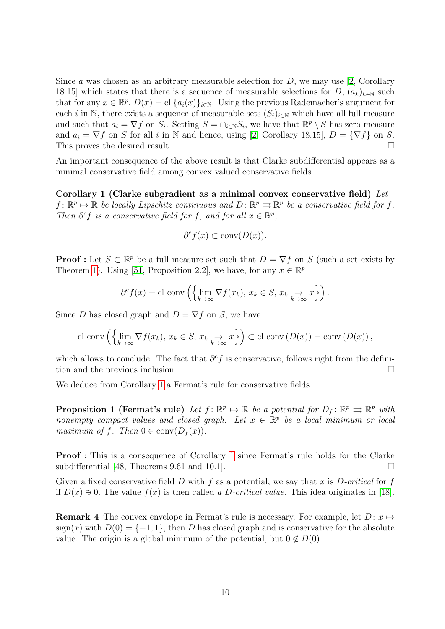Since a was chosen as an arbitrary measurable selection for  $D$ , we may use [\[2,](#page-30-1) Corollary 18.15] which states that there is a sequence of measurable selections for D,  $(a_k)_{k\in\mathbb{N}}$  such that for any  $x \in \mathbb{R}^p$ ,  $D(x) = c \cdot [a_i(x)]_{i \in \mathbb{N}}$ . Using the previous Rademacher's argument for each i in N, there exists a sequence of measurable sets  $(S_i)_{i\in\mathbb{N}}$  which have all full measure and such that  $a_i = \nabla f$  on  $S_i$ . Setting  $S = \bigcap_{i \in \mathbb{N}} S_i$ , we have that  $\mathbb{R}^p \setminus S$  has zero measure and  $a_i = \nabla f$  on S for all i in N and hence, using [\[2,](#page-30-1) Corollary 18.15],  $D = {\nabla f}$  on S. This proves the desired result.

An important consequence of the above result is that Clarke subdifferential appears as a minimal conservative field among convex valued conservative fields.

Corollary 1 (Clarke subgradient as a minimal convex conservative field) Let  $f: \mathbb{R}^p \mapsto \mathbb{R}$  be locally Lipschitz continuous and  $D: \mathbb{R}^p \rightrightarrows \mathbb{R}^p$  be a conservative field for f. Then  $\partial^c f$  is a conservative field for f, and for all  $x \in \mathbb{R}^p$ ,

<span id="page-10-0"></span>
$$
\partial^c f(x) \subset \text{conv}(D(x)).
$$

**Proof**: Let  $S \subset \mathbb{R}^p$  be a full measure set such that  $D = \nabla f$  on S (such a set exists by Theorem [1\)](#page-8-3). Using [\[51,](#page-33-7) Proposition 2.2], we have, for any  $x \in \mathbb{R}^p$ 

$$
\partial^c f(x) = \text{cl} \operatorname{conv}\left(\left\{\lim_{k \to \infty} \nabla f(x_k), \, x_k \in S, \, x_k \underset{k \to \infty}{\to} x\right\}\right).
$$

Since D has closed graph and  $D = \nabla f$  on S, we have

cl conv 
$$
\left(\left\{\lim_{k\to\infty}\nabla f(x_k), x_k\in S, x_k\underset{k\to\infty}{\to}x\right\}\right)\subset
$$
cl conv  $(D(x))=\text{conv }(D(x))$ ,

which allows to conclude. The fact that  $\partial^c f$  is conservative, follows right from the definition and the previous inclusion.

We deduce from Corollary [1](#page-10-0) a Fermat's rule for conservative fields.

**Proposition 1 (Fermat's rule)** Let  $f: \mathbb{R}^p \to \mathbb{R}$  be a potential for  $D_f: \mathbb{R}^p \to \mathbb{R}^p$  with nonempty compact values and closed graph. Let  $x \in \mathbb{R}^p$  be a local minimum or local maximum of f. Then  $0 \in \text{conv}(D_f(x))$ .

Proof : This is a consequence of Corollary [1](#page-10-0) since Fermat's rule holds for the Clarke subdifferential [\[48,](#page-33-3) Theorems 9.61 and 10.1].

Given a fixed conservative field D with f as a potential, we say that x is  $D\text{-}critical$  for f if  $D(x) \ni 0$ . The value  $f(x)$  is then called a D-critical value. This idea originates in [\[18\]](#page-31-7).

**Remark 4** The convex envelope in Fermat's rule is necessary. For example, let  $D: x \mapsto$  $sign(x)$  with  $D(0) = \{-1, 1\}$ , then D has closed graph and is conservative for the absolute value. The origin is a global minimum of the potential, but  $0 \notin D(0)$ .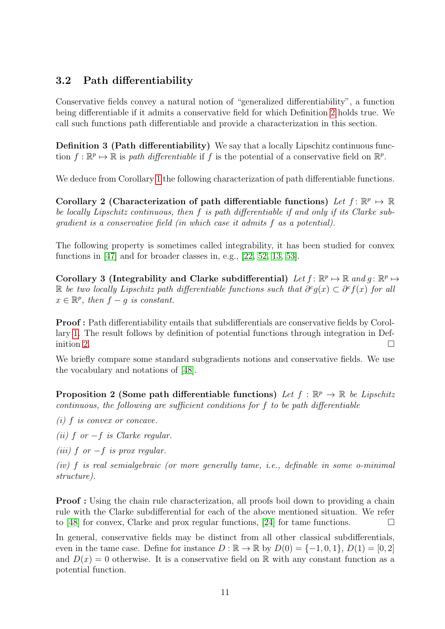## <span id="page-11-0"></span>3.2 Path differentiability

Conservative fields convey a natural notion of "generalized differentiability", a function being differentiable if it admits a conservative field for which Definition [2](#page-7-1) holds true. We call such functions path differentiable and provide a characterization in this section.

Definition 3 (Path differentiability) We say that a locally Lipschitz continuous function  $f : \mathbb{R}^p \to \mathbb{R}$  is path differentiable if f is the potential of a conservative field on  $\mathbb{R}^p$ .

<span id="page-11-1"></span>We deduce from Corollary [1](#page-10-0) the following characterization of path differentiable functions.

Corollary 2 (Characterization of path differentiable functions) Let  $f: \mathbb{R}^p \to \mathbb{R}$ be locally Lipschitz continuous, then f is path differentiable if and only if its Clarke subgradient is a conservative field (in which case it admits f as a potential).

The following property is sometimes called integrability, it has been studied for convex functions in [\[47\]](#page-33-8) and for broader classes in, e.g., [\[22,](#page-32-5) [52,](#page-34-0) [13,](#page-31-8) [53\]](#page-34-1).

Corollary 3 (Integrability and Clarke subdifferential) Let  $f: \mathbb{R}^p \mapsto \mathbb{R}$  and  $g: \mathbb{R}^p \mapsto$ R be two locally Lipschitz path differentiable functions such that  $\partial^c g(x) \subset \partial^c f(x)$  for all  $x \in \mathbb{R}^p$ , then  $f - g$  is constant.

Proof : Path differentiability entails that subdifferentials are conservative fields by Corollary [1.](#page-10-0) The result follows by definition of potential functions through integration in Def-inition [2.](#page-7-1)

We briefly compare some standard subgradients notions and conservative fields. We use the vocabulary and notations of [\[48\]](#page-33-3).

**Proposition 2 (Some path differentiable functions)** Let  $f : \mathbb{R}^p \to \mathbb{R}$  be Lipschitz continuous, the following are sufficient conditions for f to be path differentiable

(i) f is convex or concave.

(ii) f or  $-f$  is Clarke regular.

(iii) f or  $-f$  is prox regular.

(iv) f is real semialgebraic (or more generally tame, i.e., definable in some o-minimal structure).

**Proof** : Using the chain rule characterization, all proofs boil down to providing a chain rule with the Clarke subdifferential for each of the above mentioned situation. We refer to [\[48\]](#page-33-3) for convex, Clarke and prox regular functions, [\[24\]](#page-32-3) for tame functions.

In general, conservative fields may be distinct from all other classical subdifferentials, even in the tame case. Define for instance  $D : \mathbb{R} \to \mathbb{R}$  by  $D(0) = \{-1, 0, 1\}, D(1) = [0, 2]$ and  $D(x) = 0$  otherwise. It is a conservative field on R with any constant function as a potential function.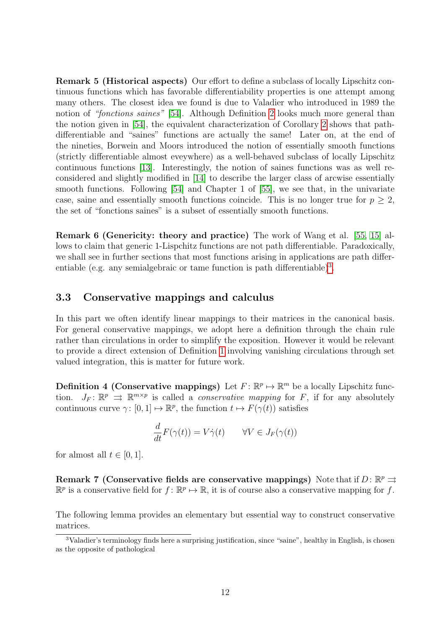Remark 5 (Historical aspects) Our effort to define a subclass of locally Lipschitz continuous functions which has favorable differentiability properties is one attempt among many others. The closest idea we found is due to Valadier who introduced in 1989 the notion of "fonctions saines" [\[54\]](#page-34-2). Although Definition [2](#page-7-1) looks much more general than the notion given in [\[54\]](#page-34-2), the equivalent characterization of Corollary [2](#page-11-1) shows that pathdifferentiable and "saines" functions are actually the same! Later on, at the end of the nineties, Borwein and Moors introduced the notion of essentially smooth functions (strictly differentiable almost eveywhere) as a well-behaved subclass of locally Lipschitz continuous functions [\[13\]](#page-31-8). Interestingly, the notion of saines functions was as well reconsidered and slightly modified in [\[14\]](#page-31-9) to describe the larger class of arcwise essentially smooth functions. Following [\[54\]](#page-34-2) and Chapter 1 of [\[55\]](#page-34-3), we see that, in the univariate case, saine and essentially smooth functions coincide. This is no longer true for  $p \geq 2$ , the set of "fonctions saines" is a subset of essentially smooth functions.

Remark 6 (Genericity: theory and practice) The work of Wang et al. [\[55,](#page-34-3) [15\]](#page-31-6) allows to claim that generic 1-Lispchitz functions are not path differentiable. Paradoxically, we shall see in further sections that most functions arising in applications are path differ-entiable (e.g. any semialgebraic or tame function is path differentiable)<sup>[3](#page-12-1)</sup>.

#### <span id="page-12-0"></span>3.3 Conservative mappings and calculus

In this part we often identify linear mappings to their matrices in the canonical basis. For general conservative mappings, we adopt here a definition through the chain rule rather than circulations in order to simplify the exposition. However it would be relevant to provide a direct extension of Definition [1](#page-5-2) involving vanishing circulations through set valued integration, this is matter for future work.

**Definition 4 (Conservative mappings)** Let  $F: \mathbb{R}^p \mapsto \mathbb{R}^m$  be a locally Lipschitz function.  $J_F: \mathbb{R}^p \implies \mathbb{R}^{m \times p}$  is called a *conservative mapping* for F, if for any absolutely continuous curve  $\gamma: [0,1] \mapsto \mathbb{R}^p$ , the function  $t \mapsto F(\gamma(t))$  satisfies

$$
\frac{d}{dt}F(\gamma(t)) = V\dot{\gamma}(t) \qquad \forall V \in J_F(\gamma(t))
$$

for almost all  $t \in [0, 1]$ .

<span id="page-12-3"></span>Remark 7 (Conservative fields are conservative mappings) Note that if  $D: \mathbb{R}^p \rightrightarrows$  $\mathbb{R}^p$  is a conservative field for  $f: \mathbb{R}^p \mapsto \mathbb{R}$ , it is of course also a conservative mapping for f.

<span id="page-12-2"></span>The following lemma provides an elementary but essential way to construct conservative matrices.

<span id="page-12-1"></span><sup>3</sup>Valadier's terminology finds here a surprising justification, since "saine", healthy in English, is chosen as the opposite of pathological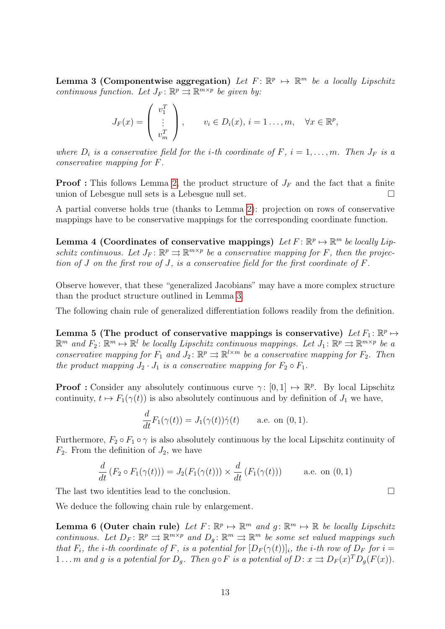**Lemma 3 (Componentwise aggregation)** Let  $F: \mathbb{R}^p \to \mathbb{R}^m$  be a locally Lipschitz continuous function. Let  $J_F: \mathbb{R}^p \rightrightarrows \mathbb{R}^{m \times p}$  be given by:

$$
J_F(x) = \begin{pmatrix} v_1^T \\ \vdots \\ v_m^T \end{pmatrix}, \qquad v_i \in D_i(x), i = 1 \dots, m, \quad \forall x \in \mathbb{R}^p,
$$

where  $D_i$  is a conservative field for the *i*-th coordinate of F,  $i = 1, \ldots, m$ . Then  $J_F$  is a conservative mapping for F.

**Proof**: This follows Lemma [2,](#page-8-2) the product structure of  $J_F$  and the fact that a finite union of Lebesgue null sets is a Lebesgue null set.

A partial converse holds true (thanks to Lemma [2\)](#page-8-2): projection on rows of conservative mappings have to be conservative mappings for the corresponding coordinate function.

<span id="page-13-2"></span>Lemma 4 (Coordinates of conservative mappings) Let  $F: \mathbb{R}^p \mapsto \mathbb{R}^m$  be locally Lipschitz continuous. Let  $J_F: \mathbb{R}^p \rightrightarrows \mathbb{R}^{m \times p}$  be a conservative mapping for F, then the projection of J on the first row of J, is a conservative field for the first coordinate of F.

Observe however, that these "generalized Jacobians" may have a more complex structure than the product structure outlined in Lemma [3.](#page-12-2)

<span id="page-13-0"></span>The following chain rule of generalized differentiation follows readily from the definition.

Lemma 5 (The product of conservative mappings is conservative) Let  $F_1: \mathbb{R}^p \mapsto$  $\mathbb{R}^m$  and  $F_2$ :  $\mathbb{R}^m \mapsto \mathbb{R}^l$  be locally Lipschitz continuous mappings. Let  $J_1$ :  $\mathbb{R}^p \rightrightarrows \mathbb{R}^{m \times p}$  be a conservative mapping for  $F_1$  and  $J_2: \mathbb{R}^p \rightrightarrows \mathbb{R}^{l \times m}$  be a conservative mapping for  $F_2$ . Then the product mapping  $J_2 \cdot J_1$  is a conservative mapping for  $F_2 \circ F_1$ .

**Proof :** Consider any absolutely continuous curve  $\gamma: [0,1] \mapsto \mathbb{R}^p$ . By local Lipschitz continuity,  $t \mapsto F_1(\gamma(t))$  is also absolutely continuous and by definition of  $J_1$  we have,

$$
\frac{d}{dt}F_1(\gamma(t)) = J_1(\gamma(t))\dot{\gamma}(t) \quad \text{a.e. on } (0,1).
$$

Furthermore,  $F_2 \circ F_1 \circ \gamma$  is also absolutely continuous by the local Lipschitz continuity of  $F_2$ . From the definition of  $J_2$ , we have

$$
\frac{d}{dt}\left(F_2 \circ F_1(\gamma(t))\right) = J_2(F_1(\gamma(t))) \times \frac{d}{dt}\left(F_1(\gamma(t))\right) \quad \text{a.e. on (0, 1)}
$$

The last two identities lead to the conclusion.

We deduce the following chain rule by enlargement.

**Lemma 6 (Outer chain rule)** Let  $F: \mathbb{R}^p \mapsto \mathbb{R}^m$  and  $g: \mathbb{R}^m \mapsto \mathbb{R}$  be locally Lipschitz continuous. Let  $D_F: \mathbb{R}^p \rightrightarrows \mathbb{R}^{m \times p}$  and  $D_g: \mathbb{R}^m \rightrightarrows \mathbb{R}^m$  be some set valued mappings such that  $F_i$ , the *i*-th coordinate of F, is a potential for  $[D_F(\gamma(t))]_i$ , the *i*-th row of  $D_F$  for  $i =$ 1... m and g is a potential for  $D_g$ . Then  $g \circ F$  is a potential of  $D: x \rightrightarrows D_F(x)^T D_g(F(x))$ .

<span id="page-13-1"></span>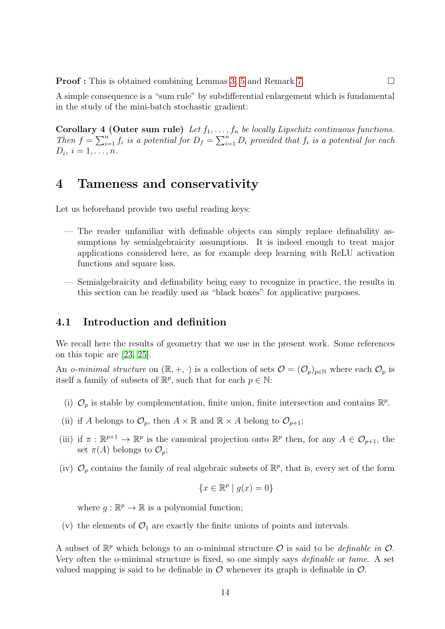**Proof :** This is obtained combining Lemmas [3,](#page-12-2) [5](#page-13-0) and Remark [7.](#page-12-3) □

A simple consequence is a "sum rule" by subdifferential enlargement which is fundamental in the study of the mini-batch stochastic gradient:

Corollary 4 (Outer sum rule) Let  $f_1, \ldots, f_n$  be locally Lipschitz continuous functions. Then  $f = \sum_{i=1}^n f_i$  is a potential for  $D_f = \sum_{i=1}^n D_i$  provided that  $f_i$  is a potential for each  $D_i, i = 1, \ldots, n$ .

## <span id="page-14-0"></span>4 Tameness and conservativity

Let us beforehand provide two useful reading keys:

- The reader unfamiliar with definable objects can simply replace definability assumptions by semialgebraicity assumptions. It is indeed enough to treat major applications considered here, as for example deep learning with ReLU activation functions and square loss.
- Semialgebraicity and definability being easy to recognize in practice, the results in this section can be readily used as "black boxes" for applicative purposes.

#### <span id="page-14-1"></span>4.1 Introduction and definition

We recall here the results of geometry that we use in the present work. Some references on this topic are [\[23,](#page-32-6) [25\]](#page-32-7).

An o-minimal structure on  $(\mathbb{R}, +, \cdot)$  is a collection of sets  $\mathcal{O} = (\mathcal{O}_p)_{p \in \mathbb{N}}$  where each  $\mathcal{O}_p$  is itself a family of subsets of  $\mathbb{R}^p$ , such that for each  $p \in \mathbb{N}$ :

- (i)  $\mathcal{O}_p$  is stable by complementation, finite union, finite intersection and contains  $\mathbb{R}^p$ .
- (ii) if A belongs to  $\mathcal{O}_p$ , then  $A \times \mathbb{R}$  and  $\mathbb{R} \times A$  belong to  $\mathcal{O}_{p+1}$ ;
- (iii) if  $\pi : \mathbb{R}^{p+1} \to \mathbb{R}^p$  is the canonical projection onto  $\mathbb{R}^p$  then, for any  $A \in \mathcal{O}_{p+1}$ , the set  $\pi(A)$  belongs to  $\mathcal{O}_p$ ;
- (iv)  $\mathcal{O}_p$  contains the family of real algebraic subsets of  $\mathbb{R}^p$ , that is, every set of the form

$$
\{x \in \mathbb{R}^p \mid g(x) = 0\}
$$

where  $g : \mathbb{R}^p \to \mathbb{R}$  is a polynomial function;

(v) the elements of  $\mathcal{O}_1$  are exactly the finite unions of points and intervals.

A subset of  $\mathbb{R}^p$  which belongs to an o-minimal structure  $\mathcal O$  is said to be *definable in*  $\mathcal O$ . Very often the o-minimal structure is fixed, so one simply says definable or tame. A set valued mapping is said to be definable in  $\mathcal O$  whenever its graph is definable in  $\mathcal O$ .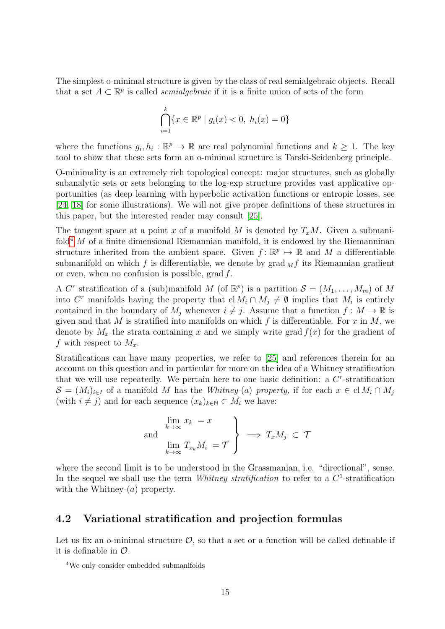The simplest o-minimal structure is given by the class of real semialgebraic objects. Recall that a set  $A \subset \mathbb{R}^p$  is called *semialgebraic* if it is a finite union of sets of the form

$$
\bigcap_{i=1}^{k} \{x \in \mathbb{R}^{p} \mid g_{i}(x) < 0, \ h_{i}(x) = 0\}
$$

where the functions  $g_i, h_i : \mathbb{R}^p \to \mathbb{R}$  are real polynomial functions and  $k \geq 1$ . The key tool to show that these sets form an o-minimal structure is Tarski-Seidenberg principle.

O-minimality is an extremely rich topological concept: major structures, such as globally subanalytic sets or sets belonging to the log-exp structure provides vast applicative opportunities (as deep learning with hyperbolic activation functions or entropic losses, see [\[24,](#page-32-3) [18\]](#page-31-7) for some illustrations). We will not give proper definitions of these structures in this paper, but the interested reader may consult [\[25\]](#page-32-7).

The tangent space at a point x of a manifold M is denoted by  $T_xM$ . Given a submani-fold<sup>[4](#page-15-1)</sup> M of a finite dimensional Riemannian manifold, it is endowed by the Riemanninan structure inherited from the ambient space. Given  $f: \mathbb{R}^p \to \mathbb{R}$  and M a differentiable submanifold on which f is differentiable, we denote by  $\operatorname{grad}_{M}f$  its Riemannian gradient or even, when no confusion is possible, grad f.

A C<sup>r</sup> stratification of a (sub)manifold M (of  $\mathbb{R}^p$ ) is a partition  $\mathcal{S} = (M_1, \ldots, M_m)$  of M into C<sup>r</sup> manifolds having the property that  $\mathrm{cl}\,M_i \cap M_j \neq \emptyset$  implies that  $M_i$  is entirely contained in the boundary of  $M_j$  whenever  $i \neq j$ . Assume that a function  $f : M \to \mathbb{R}$  is given and that M is stratified into manifolds on which f is differentiable. For x in M, we denote by  $M_x$  the strata containing x and we simply write grad  $f(x)$  for the gradient of f with respect to  $M_x$ .

Stratifications can have many properties, we refer to [\[25\]](#page-32-7) and references therein for an account on this question and in particular for more on the idea of a Whitney stratification that we will use repeatedly. We pertain here to one basic definition: a  $C<sup>r</sup>$ -stratification  $S = (M_i)_{i \in I}$  of a manifold M has the Whitney-(a) property, if for each  $x \in \text{cl } M_i \cap M_j$ (with  $i \neq j$ ) and for each sequence  $(x_k)_{k\in\mathbb{N}} \subset M_i$  we have:

and  
\n
$$
\lim_{k \to \infty} x_k = x
$$
\n
$$
\lim_{k \to \infty} T_{x_k} M_i = \mathcal{T}
$$
\n
$$
\implies T_x M_j \subset \mathcal{T}
$$

where the second limit is to be understood in the Grassmanian, i.e. "directional", sense. In the sequel we shall use the term *Whitney stratification* to refer to a  $C^1$ -stratification with the Whitney- $(a)$  property.

#### <span id="page-15-0"></span>4.2 Variational stratification and projection formulas

Let us fix an o-minimal structure  $\mathcal{O}$ , so that a set or a function will be called definable if it is definable in  $\mathcal{O}$ .

<span id="page-15-1"></span><sup>4</sup>We only consider embedded submanifolds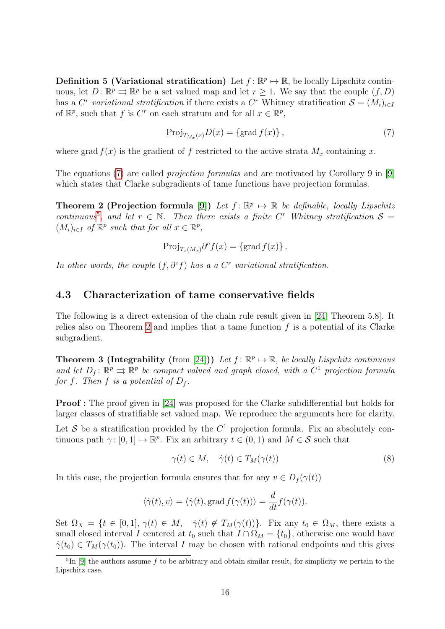**Definition 5 (Variational stratification)** Let  $f: \mathbb{R}^p \to \mathbb{R}$ , be locally Lipschitz continuous, let  $D: \mathbb{R}^p \rightrightarrows \mathbb{R}^p$  be a set valued map and let  $r \geq 1$ . We say that the couple  $(f, D)$ has a C<sup>r</sup> variational stratification if there exists a C<sup>r</sup> Whitney stratification  $S = (M_i)_{i \in I}$ of  $\mathbb{R}^p$ , such that f is  $C^r$  on each stratum and for all  $x \in \mathbb{R}^p$ ,

<span id="page-16-3"></span><span id="page-16-1"></span>
$$
\operatorname{Proj}_{T_{M_x}(x)} D(x) = \{\operatorname{grad} f(x)\},\tag{7}
$$

where grad  $f(x)$  is the gradient of f restricted to the active strata  $M<sub>x</sub>$  containing x.

The equations [\(7\)](#page-16-1) are called *projection formulas* and are motivated by Corollary 9 in [\[9\]](#page-31-4) which states that Clarke subgradients of tame functions have projection formulas.

**Theorem 2 (Projection formula [\[9\]](#page-31-4))** Let  $f: \mathbb{R}^p \mapsto \mathbb{R}$  be definable, locally Lipschitz continuous<sup>[5](#page-16-2)</sup>, and let  $r \in \mathbb{N}$ . Then there exists a finite C<sup>r</sup> Whitney stratification  $S =$  $(M_i)_{i\in I}$  of  $\mathbb{R}^p$  such that for all  $x \in \mathbb{R}^p$ ,

$$
\operatorname{Proj}_{T_x(M_x)} \partial^c f(x) = \{ \operatorname{grad} f(x) \}.
$$

In other words, the couple  $(f, \partial^c f)$  has a a  $C^r$  variational stratification.

#### <span id="page-16-0"></span>4.3 Characterization of tame conservative fields

The following is a direct extension of the chain rule result given in [\[24,](#page-32-3) Theorem 5.8]. It relies also on Theorem [2](#page-16-3) and implies that a tame function  $f$  is a potential of its Clarke subgradient.

**Theorem 3 (Integrability (from [\[24\]](#page-32-3)))** Let  $f: \mathbb{R}^p \mapsto \mathbb{R}$ , be locally Lispchitz continuous and let  $D_f: \mathbb{R}^p \rightrightarrows \mathbb{R}^p$  be compact valued and graph closed, with a  $C^1$  projection formula for f. Then f is a potential of  $D_f$ .

Proof : The proof given in [\[24\]](#page-32-3) was proposed for the Clarke subdifferential but holds for larger classes of stratifiable set valued map. We reproduce the arguments here for clarity.

Let S be a stratification provided by the  $C<sup>1</sup>$  projection formula. Fix an absolutely continuous path  $\gamma: [0, 1] \mapsto \mathbb{R}^p$ . Fix an arbitrary  $t \in (0, 1)$  and  $M \in \mathcal{S}$  such that

<span id="page-16-4"></span>
$$
\gamma(t) \in M, \quad \dot{\gamma}(t) \in T_M(\gamma(t)) \tag{8}
$$

In this case, the projection formula ensures that for any  $v \in D_f(\gamma(t))$ 

$$
\langle \dot{\gamma}(t), v \rangle = \langle \dot{\gamma}(t), \text{grad } f(\gamma(t)) \rangle = \frac{d}{dt} f(\gamma(t)).
$$

Set  $\Omega_X = \{t \in [0,1], \gamma(t) \in M, \quad \dot{\gamma}(t) \notin T_M(\gamma(t))\}.$  Fix any  $t_0 \in \Omega_M$ , there exists a small closed interval I centered at  $t_0$  such that  $I \cap \Omega_M = \{t_0\}$ , otherwise one would have  $\dot{\gamma}(t_0) \in T_M(\gamma(t_0))$ . The interval I may be chosen with rational endpoints and this gives

<span id="page-16-2"></span> ${}^{5}\text{In}$  [\[9\]](#page-31-4) the authors assume f to be arbitrary and obtain similar result, for simplicity we pertain to the Lipschitz case.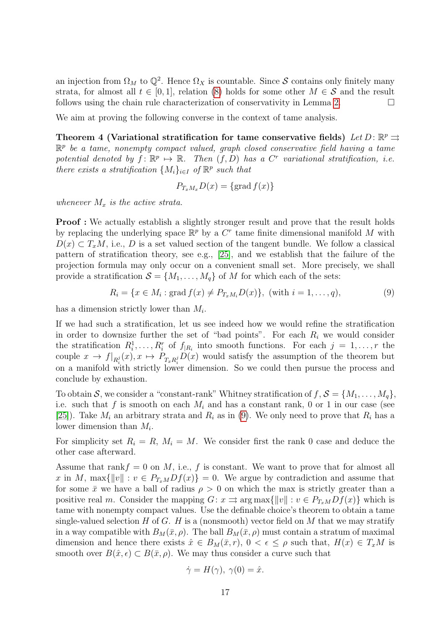an injection from  $\Omega_M$  to  $\mathbb{Q}^2$ . Hence  $\Omega_X$  is countable. Since S contains only finitely many strata, for almost all  $t \in [0,1]$ , relation [\(8\)](#page-16-4) holds for some other  $M \in \mathcal{S}$  and the result follows using the chain rule characterization of conservativity in Lemma [2.](#page-8-2)  $\Box$ 

We aim at proving the following converse in the context of tame analysis.

Theorem 4 (Variational stratification for tame conservative fields) Let  $D: \mathbb{R}^p \rightrightarrows$  $\mathbb{R}^p$  be a tame, nonempty compact valued, graph closed conservative field having a tame potential denoted by  $f: \mathbb{R}^p \mapsto \mathbb{R}$ . Then  $(f, D)$  has a C<sup>r</sup> variational stratification, i.e. there exists a stratification  $\{M_i\}_{i\in I}$  of  $\mathbb{R}^p$  such that

<span id="page-17-1"></span>
$$
P_{T_xM_x}D(x) = \{\text{grad } f(x)\}\
$$

whenever  $M_x$  is the active strata.

**Proof**: We actually establish a slightly stronger result and prove that the result holds by replacing the underlying space  $\mathbb{R}^p$  by a  $C^r$  tame finite dimensional manifold M with  $D(x) \subset T_xM$ , i.e., D is a set valued section of the tangent bundle. We follow a classical pattern of stratification theory, see e.g., [\[25\]](#page-32-7), and we establish that the failure of the projection formula may only occur on a convenient small set. More precisely, we shall provide a stratification  $S = \{M_1, \ldots, M_q\}$  of M for which each of the sets:

<span id="page-17-0"></span>
$$
R_i = \{x \in M_i : \text{grad } f(x) \neq P_{T_x M_i} D(x)\}, \text{ (with } i = 1, ..., q),
$$
 (9)

has a dimension strictly lower than  $M_i$ .

If we had such a stratification, let us see indeed how we would refine the stratification in order to downsize further the set of "bad points". For each  $R_i$  we would consider the stratification  $R_i^1, \ldots, R_i^r$  of  $f_{|R_i}$  into smooth functions. For each  $j = 1, \ldots, r$  the couple  $x \to f|_{R_i^j}(x), x \mapsto P_{T_xR_i^j}D(x)$  would satisfy the assumption of the theorem but on a manifold with strictly lower dimension. So we could then pursue the process and conclude by exhaustion.

To obtain S, we consider a "constant-rank" Whitney stratification of  $f, S = \{M_1, \ldots, M_q\},\$ i.e. such that f is smooth on each  $M_i$  and has a constant rank, 0 or 1 in our case (see [\[25\]](#page-32-7)). Take  $M_i$  an arbitrary strata and  $R_i$  as in [\(9\)](#page-17-0). We only need to prove that  $R_i$  has a lower dimension than  $M_i$ .

For simplicity set  $R_i = R$ ,  $M_i = M$ . We consider first the rank 0 case and deduce the other case afterward.

Assume that rank $f = 0$  on M, i.e., f is constant. We want to prove that for almost all x in M, max{ $||v|| : v \in P_{T_xM}Df(x) = 0$ . We argue by contradiction and assume that for some  $\bar{x}$  we have a ball of radius  $\rho > 0$  on which the max is strictly greater than a positive real m. Consider the mapping  $G: x \implies \arg \max \{||v|| : v \in P_{T_xM}Df(x)\}\$  which is tame with nonempty compact values. Use the definable choice's theorem to obtain a tame single-valued selection H of G. H is a (nonsmooth) vector field on M that we may stratify in a way compatible with  $B_M(\bar{x}, \rho)$ . The ball  $B_M(\bar{x}, \rho)$  must contain a stratum of maximal dimension and hence there exists  $\hat{x} \in B_M(\bar{x}, r)$ ,  $0 < \epsilon \leq \rho$  such that,  $H(x) \in T_xM$  is smooth over  $B(\hat{x}, \epsilon) \subset B(\bar{x}, \rho)$ . We may thus consider a curve such that

$$
\dot{\gamma} = H(\gamma), \ \gamma(0) = \hat{x}.
$$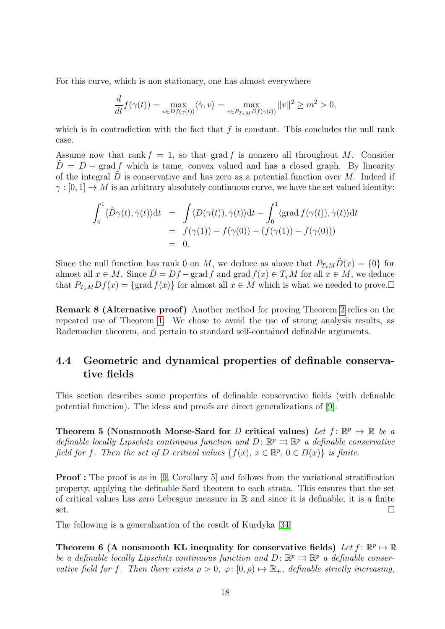For this curve, which is non stationary, one has almost everywhere

$$
\frac{d}{dt}f(\gamma(t)) = \max_{v \in Df(\gamma(t))} \langle \dot{\gamma}, v \rangle = \max_{v \in P_{T_xM}Df(\gamma(t))} ||v||^2 \ge m^2 > 0,
$$

which is in contradiction with the fact that  $f$  is constant. This concludes the null rank case.

Assume now that rank  $f = 1$ , so that grad f is nonzero all throughout M. Consider  $D = D - \text{grad } f$  which is tame, convex valued and has a closed graph. By linearity of the integral  $D$  is conservative and has zero as a potential function over  $M$ . Indeed if  $\gamma : [0,1] \to M$  is an arbitrary absolutely continuous curve, we have the set valued identity:

$$
\int_0^1 \langle \tilde{D}\gamma(t), \dot{\gamma}(t) \rangle dt = \int \langle D(\gamma(t)), \dot{\gamma}(t) \rangle dt - \int_0^1 \langle \text{grad } f(\gamma(t)), \dot{\gamma}(t) \rangle dt
$$
  
=  $f(\gamma(1)) - f(\gamma(0)) - (f(\gamma(1)) - f(\gamma(0)))$   
= 0.

Since the null function has rank 0 on M, we deduce as above that  $P_{T_xM}\tilde{D}(x) = \{0\}$  for almost all  $x \in M$ . Since  $\tilde{D} = Df - \text{grad } f$  and  $\text{grad } f(x) \in T_xM$  for all  $x \in M$ , we deduce that  $P_{T_xM}Df(x) = \{\text{grad } f(x)\}\$ for almost all  $x \in M$  which is what we needed to prove.

Remark 8 (Alternative proof) Another method for proving Theorem [2](#page-16-3) relies on the repeated use of Theorem [1.](#page-8-3) We chose to avoid the use of strong analysis results, as Rademacher theorem, and pertain to standard self-contained definable arguments.

### <span id="page-18-0"></span>4.4 Geometric and dynamical properties of definable conservative fields

This section describes some properties of definable conservative fields (with definable potential function). The ideas and proofs are direct generalizations of [\[9\]](#page-31-4).

Theorem 5 (Nonsmooth Morse-Sard for D critical values) Let  $f: \mathbb{R}^p \mapsto \mathbb{R}$  be a definable locally Lipschitz continuous function and  $D: \mathbb{R}^p \rightrightarrows \mathbb{R}^p$  a definable conservative field for f. Then the set of D critical values  $\{f(x), x \in \mathbb{R}^p, 0 \in D(x)\}\$ is finite.

**Proof**: The proof is as in [\[9,](#page-31-4) Corollary 5] and follows from the variational stratification property, applying the definable Sard theorem to each strata. This ensures that the set of critical values has zero Lebesgue measure in  $\mathbb R$  and since it is definable, it is a finite  $\overline{\phantom{a}}$ set.

The following is a generalization of the result of Kurdyka [\[34\]](#page-32-1)

Theorem 6 (A nonsmooth KL inequality for conservative fields) Let  $f: \mathbb{R}^p \mapsto \mathbb{R}^p$ be a definable locally Lipschitz continuous function and  $D: \mathbb{R}^p \rightrightarrows \mathbb{R}^p$  a definable conservative field for f. Then there exists  $\rho > 0$ ,  $\varphi: [0, \rho) \mapsto \mathbb{R}_+$ , definable strictly increasing,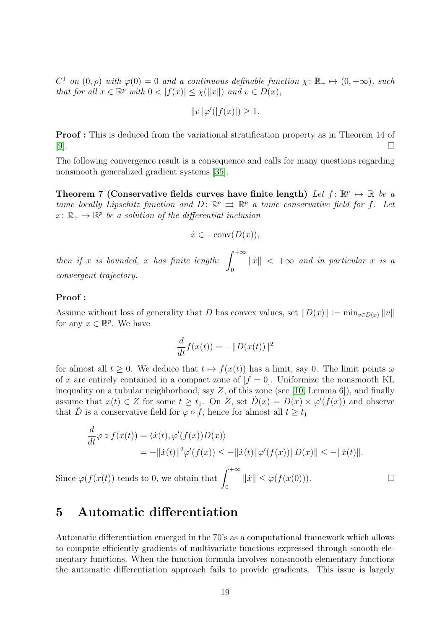$C^1$  on  $(0, \rho)$  with  $\varphi(0) = 0$  and a continuous definable function  $\chi: \mathbb{R}_+ \mapsto (0, +\infty)$ , such that for all  $x \in \mathbb{R}^p$  with  $0 < |f(x)| \leq \chi(||x||)$  and  $v \in D(x)$ ,

$$
||v||\varphi'(|f(x)|) \ge 1.
$$

Proof : This is deduced from the variational stratification property as in Theorem 14 of [\[9\]](#page-31-4).

The following convergence result is a consequence and calls for many questions regarding nonsmooth generalized gradient systems [\[35\]](#page-33-9).

Theorem 7 (Conservative fields curves have finite length) Let  $f: \mathbb{R}^p \mapsto \mathbb{R}$  be a tame locally Lipschitz function and  $D: \mathbb{R}^p \implies \mathbb{R}^p$  a tame conservative field for f. Let  $x \colon \mathbb{R}_+ \mapsto \mathbb{R}^p$  be a solution of the differential inclusion

$$
\dot{x} \in -\text{conv}(D(x)),
$$

then if x is bounded, x has finite length:  $\int^{+\infty}$  $\mathbf{0}$  $\|\dot{x}\|$  <  $+\infty$  and in particular x is a convergent trajectory.

#### Proof :

Assume without loss of generality that D has convex values, set  $||D(x)|| := \min_{v \in D(x)} ||v||$ for any  $x \in \mathbb{R}^p$ . We have

$$
\frac{d}{dt}f(x(t)) = -||D(x(t))||^2
$$

for almost all  $t \geq 0$ . We deduce that  $t \mapsto f(x(t))$  has a limit, say 0. The limit points  $\omega$ of x are entirely contained in a compact zone of  $[f = 0]$ . Uniformize the nonsmooth KL inequality on a tubular neighborhood, say  $Z$ , of this zone (see [\[10,](#page-31-10) Lemma 6]), and finally assume that  $x(t) \in Z$  for some  $t \geq t_1$ . On Z, set  $\tilde{D}(x) = D(x) \times \varphi'(f(x))$  and observe that D is a conservative field for  $\varphi \circ f$ , hence for almost all  $t \geq t_1$ 

$$
\frac{d}{dt}\varphi \circ f(x(t)) = \langle \dot{x}(t), \varphi'(f(x))D(x) \rangle
$$
  
\n
$$
= -\|\dot{x}(t)\|^2 \varphi'(f(x)) \le -\|\dot{x}(t)\| \varphi'(f(x)) \|D(x)\| \le -\|\dot{x}(t)\|.
$$
  
\nSince  $\varphi(f(x(t))$  tends to 0, we obtain that  $\int_0^{+\infty} \|\dot{x}\| \le \varphi(f(x(0))).$ 

# <span id="page-19-0"></span>5 Automatic differentiation

Automatic differentiation emerged in the 70's as a computational framework which allows to compute efficiently gradients of multivariate functions expressed through smooth elementary functions. When the function formula involves nonsmooth elementary functions the automatic differentiation approach fails to provide gradients. This issue is largely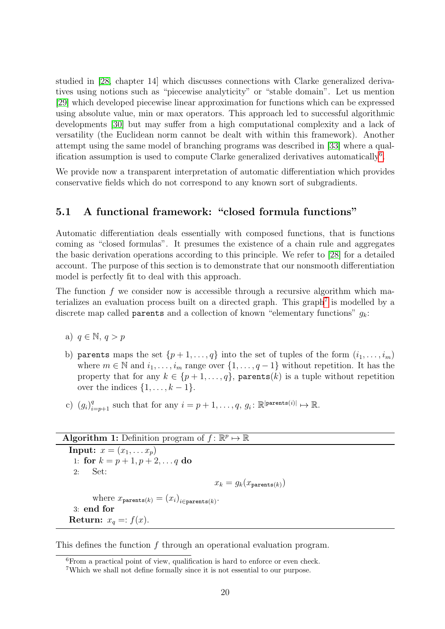studied in [\[28,](#page-32-2) chapter 14] which discusses connections with Clarke generalized derivatives using notions such as "piecewise analyticity" or "stable domain". Let us mention [\[29\]](#page-32-8) which developed piecewise linear approximation for functions which can be expressed using absolute value, min or max operators. This approach led to successful algorithmic developments [\[30\]](#page-32-9) but may suffer from a high computational complexity and a lack of versatility (the Euclidean norm cannot be dealt with within this framework). Another attempt using the same model of branching programs was described in [\[33\]](#page-32-10) where a qual-ification assumption is used to compute Clarke generalized derivatives automatically<sup>[6](#page-20-1)</sup>.

We provide now a transparent interpretation of automatic differentiation which provides conservative fields which do not correspond to any known sort of subgradients.

### <span id="page-20-0"></span>5.1 A functional framework: "closed formula functions"

Automatic differentiation deals essentially with composed functions, that is functions coming as "closed formulas". It presumes the existence of a chain rule and aggregates the basic derivation operations according to this principle. We refer to [\[28\]](#page-32-2) for a detailed account. The purpose of this section is to demonstrate that our nonsmooth differentiation model is perfectly fit to deal with this approach.

The function  $f$  we consider now is accessible through a recursive algorithm which ma-terializes an evaluation process built on a directed graph. This graph<sup>[7](#page-20-2)</sup> is modelled by a discrete map called **parents** and a collection of known "elementary functions"  $g_k$ :

- a)  $q \in \mathbb{N}, q > p$
- b) parents maps the set  $\{p+1,\ldots,q\}$  into the set of tuples of the form  $(i_1,\ldots,i_m)$ where  $m \in \mathbb{N}$  and  $i_1, \ldots, i_m$  range over  $\{1, \ldots, q-1\}$  without repetition. It has the property that for any  $k \in \{p+1,\ldots,q\}$ , parents(k) is a tuple without repetition over the indices  $\{1, \ldots, k-1\}.$
- c)  $(g_i)_{i=p+1}^q$  such that for any  $i=p+1,\ldots,q, g_i: \mathbb{R}^{|\text{parents}(i)|} \mapsto \mathbb{R}$ .

```
Algorithm 1: Definition program of f: \mathbb{R}^p \mapsto \mathbb{R}
```
<span id="page-20-4"></span>**Input:**  $x = (x_1, \ldots x_p)$ 1: for  $k = p + 1, p + 2, \ldots q$  do 2: Set:  $x_k = g_k(x_{\text{parents}(k)})$ where  $x_{\text{parents}(k)} = (x_i)_{i \in \text{parents}(k)}$ . 3: end for Return:  $x_q =: f(x)$ .

This defines the function f through an operational evaluation program.

<span id="page-20-3"></span><span id="page-20-1"></span><sup>6</sup>From a practical point of view, qualification is hard to enforce or even check.

<span id="page-20-2"></span><sup>7</sup>Which we shall not define formally since it is not essential to our purpose.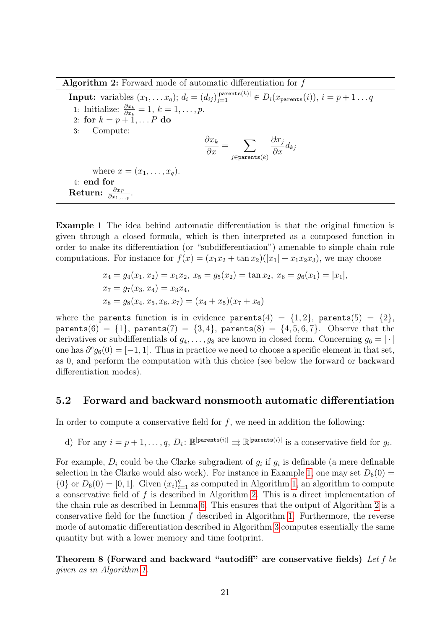Algorithm 2: Forward mode of automatic differentiation for  $f$ 

<span id="page-21-1"></span>**Input:** variables  $(x_1, \ldots x_q)$ ;  $d_i = (d_{ij})_{j=1}^{|\text{parents}(k)|} \in D_i(x_{\text{parents}}(i)), i = p+1 \ldots q$ 1: Initialize:  $\frac{\partial x_k}{\partial x_k} = 1, k = 1, \ldots, p.$ 2: for  $k = p + 1, \ldots P$  do 3: Compute:  $\partial x_k$  $\frac{\partial x_k}{\partial x} = \sum$  $j$ ∈parents $(k)$  $\partial x_j$  $\frac{\partial x_j}{\partial x}$ d<sub>kj</sub> where  $x = (x_1, \ldots, x_n)$ . 4: end for  $\text{Return: } \frac{\partial x_P}{\partial x_{1,...,p}}.$ 

Example 1 The idea behind automatic differentiation is that the original function is given through a closed formula, which is then interpreted as a composed function in order to make its differentiation (or "subdifferentiation") amenable to simple chain rule computations. For instance for  $f(x) = (x_1x_2 + \tan x_2)(|x_1| + x_1x_2x_3)$ , we may choose

$$
x_4 = g_4(x_1, x_2) = x_1x_2, x_5 = g_5(x_2) = \tan x_2, x_6 = g_6(x_1) = |x_1|,
$$
  
\n
$$
x_7 = g_7(x_3, x_4) = x_3x_4,
$$
  
\n
$$
x_8 = g_8(x_4, x_5, x_6, x_7) = (x_4 + x_5)(x_7 + x_6)
$$

where the parents function is in evidence parents(4) =  $\{1,2\}$ , parents(5) =  $\{2\}$ ,  $\text{parents}(6) = \{1\}, \text{parents}(7) = \{3, 4\}, \text{parents}(8) = \{4, 5, 6, 7\}.$  Observe that the derivatives or subdifferentials of  $g_4, \ldots, g_8$  are known in closed form. Concerning  $g_6 = |\cdot|$ one has  $\partial^c g_6(0) = [-1, 1]$ . Thus in practice we need to choose a specific element in that set, as 0, and perform the computation with this choice (see below the forward or backward differentiation modes).

#### <span id="page-21-0"></span>5.2 Forward and backward nonsmooth automatic differentiation

In order to compute a conservative field for  $f$ , we need in addition the following:

d) For any  $i = p + 1, \ldots, q, D_i: \mathbb{R}^{|\text{parents}(i)|} \implies \mathbb{R}^{|\text{parents}(i)|}$  is a conservative field for  $g_i$ .

For example,  $D_i$  could be the Clarke subgradient of  $g_i$  if  $g_i$  is definable (a mere definable selection in the Clarke would also work). For instance in Example [1,](#page-20-3) one may set  $D_6(0)$  =  ${0}$  or  $D_6(0) = [0, 1]$ . Given  $(x_i)_{i=1}^q$  as computed in Algorithm [1,](#page-20-4) an algorithm to compute a conservative field of  $f$  is described in Algorithm [2.](#page-21-1) This is a direct implementation of the chain rule as described in Lemma [6.](#page-13-1) This ensures that the output of Algorithm [2](#page-21-1) is a conservative field for the function  $f$  described in Algorithm [1.](#page-20-4) Furthermore, the reverse mode of automatic differentiation described in Algorithm [3](#page-22-0) computes essentially the same quantity but with a lower memory and time footprint.

<span id="page-21-2"></span>Theorem 8 (Forward and backward "autodiff" are conservative fields) Let  $f$  be given as in Algorithm [1.](#page-20-4)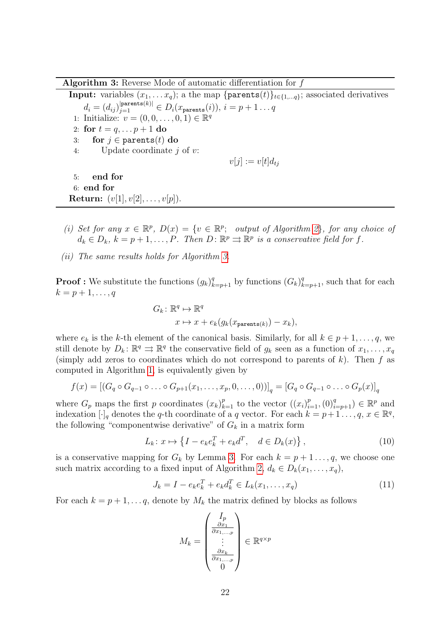Algorithm 3: Reverse Mode of automatic differentiation for f

<span id="page-22-0"></span>**Input:** variables  $(x_1, \ldots, x_q)$ ; a the map {parents(t)}<sub>t∈{1,...q}</sub>; associated derivatives  $d_i = (d_{ij})_{j=1}^{|\texttt{parents}(k)|} \in D_i(x_{\texttt{parents}}(i)),\, i = p+1 \ldots q$ 1: Initialize:  $v = (0, 0, \ldots, 0, 1) \in \mathbb{R}^q$ 2: for  $t = q, ..., p + 1$  do 3: for  $j \in$  parents $(t)$  do 4: Update coordinate j of v:  $v[i] := v[t]d_{ti}$ 5: end for 6: end for **Return:**  $(v[1], v[2], \ldots, v[p]).$ 

- (i) Set for any  $x \in \mathbb{R}^p$ ,  $D(x) = \{v \in \mathbb{R}^p$ ; output of Algorithm [2](#page-21-1), for any choice of  $d_k \in D_k$ ,  $k = p + 1, \ldots, P$ . Then  $D: \mathbb{R}^p \rightrightarrows \mathbb{R}^p$  is a conservative field for f.
- (ii) The same results holds for Algorithm [3.](#page-22-0)

**Proof**: We substitute the functions  $(g_k)_{k=p+1}^q$  by functions  $(G_k)_{k=p+1}^q$ , such that for each  $k = p+1, \ldots, q$ 

$$
G_k: \mathbb{R}^q \mapsto \mathbb{R}^q
$$
  

$$
x \mapsto x + e_k(g_k(x_{\text{parents}(k)}) - x_k),
$$

where  $e_k$  is the k-th element of the canonical basis. Similarly, for all  $k \in p+1, \ldots, q$ , we still denote by  $D_k: \mathbb{R}^q \to \mathbb{R}^q$  the conservative field of  $g_k$  seen as a function of  $x_1, \ldots, x_q$ (simply add zeros to coordinates which do not correspond to parents of  $k$ ). Then  $f$  as computed in Algorithm [1,](#page-20-4) is equivalently given by

$$
f(x) = [(G_q \circ G_{q-1} \circ \ldots \circ G_{p+1}(x_1, \ldots, x_p, 0, \ldots, 0))]_q = [G_q \circ G_{q-1} \circ \ldots \circ G_p(x)]_q
$$

where  $G_p$  maps the first p coordinates  $(x_k)_{k=1}^p$  to the vector  $((x_i)_{i=1}^p, (0)_{i=p+1}^q) \in \mathbb{R}^p$  and indexation  $[\cdot]_q$  denotes the q-th coordinate of a q vector. For each  $k = p+1 \ldots, q, x \in \mathbb{R}^q$ , the following "componentwise derivative" of  $G_k$  in a matrix form

$$
L_k: x \mapsto \left\{ I - e_k e_k^T + e_k d^T, \quad d \in D_k(x) \right\},\tag{10}
$$

is a conservative mapping for  $G_k$  by Lemma [3.](#page-12-2) For each  $k = p + 1 \ldots, q$ , we choose one such matrix according to a fixed input of Algorithm [2,](#page-21-1)  $d_k \in D_k(x_1, \ldots, x_q)$ ,

$$
J_k = I - e_k e_k^T + e_k d_k^T \in L_k(x_1, \dots, x_q)
$$
\n(11)

For each  $k = p + 1, \ldots, q$ , denote by  $M_k$  the matrix defined by blocks as follows

<span id="page-22-2"></span><span id="page-22-1"></span>
$$
M_k = \begin{pmatrix} I_p \\ \frac{\partial x_1}{\partial x_1, \dots, p} \\ \vdots \\ \frac{\partial x_k}{\partial x_1, \dots, p} \\ 0 \end{pmatrix} \in \mathbb{R}^{q \times p}
$$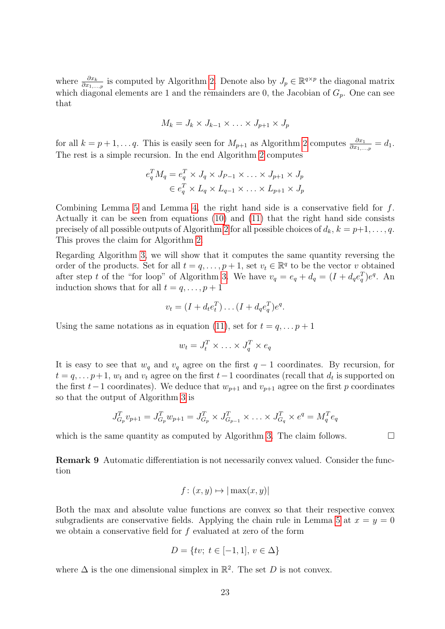where  $\frac{\partial x_k}{\partial x_1,\dots,p}$  is computed by Algorithm [2.](#page-21-1) Denote also by  $J_p \in \mathbb{R}^{q \times p}$  the diagonal matrix which diagonal elements are 1 and the remainders are 0, the Jacobian of  $G_p$ . One can see that

$$
M_k = J_k \times J_{k-1} \times \ldots \times J_{p+1} \times J_p
$$

for all  $k = p + 1, \ldots, q$ . This is easily seen for  $M_{p+1}$  as Algorithm [2](#page-21-1) computes  $\frac{\partial x_1}{\partial x_1, \ldots, p} = d_1$ . The rest is a simple recursion. In the end Algorithm [2](#page-21-1) computes

$$
e_q^T M_q = e_q^T \times J_q \times J_{p-1} \times \ldots \times J_{p+1} \times J_p
$$
  

$$
\in e_q^T \times L_q \times L_{q-1} \times \ldots \times L_{p+1} \times J_p
$$

Combining Lemma [5](#page-13-0) and Lemma [4,](#page-13-2) the right hand side is a conservative field for f. Actually it can be seen from equations [\(10\)](#page-22-1) and [\(11\)](#page-22-2) that the right hand side consists precisely of all possible outputs of Algorithm [2](#page-21-1) for all possible choices of  $d_k$ ,  $k = p+1, \ldots, q$ . This proves the claim for Algorithm [2.](#page-21-1)

Regarding Algorithm [3,](#page-22-0) we will show that it computes the same quantity reversing the order of the products. Set for all  $t = q, \ldots, p + 1$ , set  $v_t \in \mathbb{R}^q$  to be the vector v obtained after step t of the "for loop" of Algorithm [3.](#page-22-0) We have  $v_q = e_q + d_q = (I + d_q e_q^T)e^q$ . An induction shows that for all  $t = q, \ldots, p + 1$ 

$$
v_t = (I + d_t e_t^T) \dots (I + d_q e_q^T) e^q.
$$

Using the same notations as in equation [\(11\)](#page-22-2), set for  $t = q, \ldots p + 1$ 

$$
w_t = J_t^T \times \ldots \times J_q^T \times e_q
$$

It is easy to see that  $w_q$  and  $v_q$  agree on the first  $q-1$  coordinates. By recursion, for  $t = q, \ldots p+1$ ,  $w_t$  and  $v_t$  agree on the first  $t-1$  coordinates (recall that  $d_t$  is supported on the first  $t-1$  coordinates). We deduce that  $w_{p+1}$  and  $v_{p+1}$  agree on the first p coordinates so that the output of Algorithm [3](#page-22-0) is

$$
J_{G_p}^T v_{p+1} = J_{G_p}^T w_{p+1} = J_{G_p}^T \times J_{G_{p-1}}^T \times \ldots \times J_{G_q}^T \times e^q = M_q^T e_q
$$

which is the same quantity as computed by Algorithm [3.](#page-22-0) The claim follows.  $\Box$ 

Remark 9 Automatic differentiation is not necessarily convex valued. Consider the function

$$
f: (x, y) \mapsto |\max(x, y)|
$$

Both the max and absolute value functions are convex so that their respective convex subgradients are conservative fields. Applying the chain rule in Lemma [5](#page-13-0) at  $x = y = 0$ we obtain a conservative field for  $f$  evaluated at zero of the form

$$
D = \{tv; \ t \in [-1, 1], \ v \in \Delta \}
$$

where  $\Delta$  is the one dimensional simplex in  $\mathbb{R}^2$ . The set D is not convex.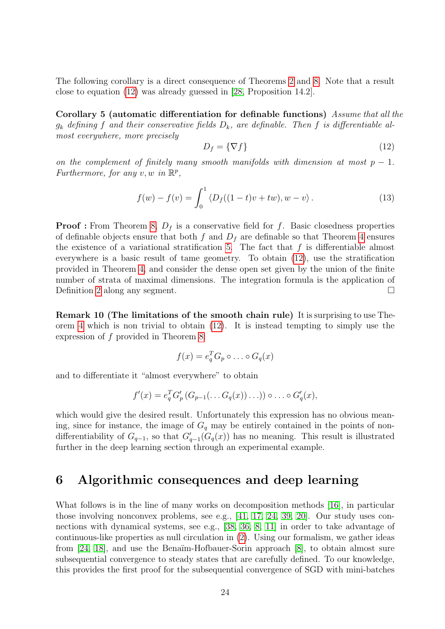The following corollary is a direct consequence of Theorems [2](#page-16-3) and [8.](#page-21-2) Note that a result close to equation [\(12\)](#page-24-1) was already guessed in [\[28,](#page-32-2) Proposition 14.2].

Corollary 5 (automatic differentiation for definable functions) Assume that all the  $g_k$  defining f and their conservative fields  $D_k$ , are definable. Then f is differentiable almost everywhere, more precisely

<span id="page-24-1"></span>
$$
D_f = \{ \nabla f \} \tag{12}
$$

on the complement of finitely many smooth manifolds with dimension at most  $p-1$ . Furthermore, for any  $v, w$  in  $\mathbb{R}^p$ ,

$$
f(w) - f(v) = \int_0^1 \langle D_f((1-t)v + tw), w - v \rangle.
$$
 (13)

**Proof :** From Theorem [8,](#page-21-2)  $D_f$  is a conservative field for f. Basic closedness properties of definable objects ensure that both f and  $D_f$  are definable so that Theorem [4](#page-17-1) ensures the existence of a variational stratification [5.](#page-16-1) The fact that  $f$  is differentiable almost everywhere is a basic result of tame geometry. To obtain [\(12\)](#page-24-1), use the stratification provided in Theorem [4,](#page-17-1) and consider the dense open set given by the union of the finite number of strata of maximal dimensions. The integration formula is the application of Definition [2](#page-7-1) along any segment.

<span id="page-24-2"></span>Remark 10 (The limitations of the smooth chain rule) It is surprising to use Theorem [4](#page-17-1) which is non trivial to obtain [\(12\)](#page-24-1). It is instead tempting to simply use the expression of f provided in Theorem [8:](#page-21-2)

$$
f(x) = e_q^T G_p \circ \dots \circ G_q(x)
$$

and to differentiate it "almost everywhere" to obtain

$$
f'(x) = e_q^T G'_p \left( G_{p-1}(\ldots G_q(x)) \ldots \right) \circ \ldots \circ G'_q(x),
$$

which would give the desired result. Unfortunately this expression has no obvious meaning, since for instance, the image of  $G_q$  may be entirely contained in the points of nondifferentiability of  $G_{q-1}$ , so that  $G'_{q-1}(G_q(x))$  has no meaning. This result is illustrated further in the deep learning section through an experimental example.

# <span id="page-24-0"></span>6 Algorithmic consequences and deep learning

What follows is in the line of many works on decomposition methods [\[16\]](#page-31-11), in particular those involving nonconvex problems, see e.g., [\[41,](#page-33-10) [17,](#page-31-3) [24,](#page-32-3) [39,](#page-33-11) [20\]](#page-32-11). Our study uses connections with dynamical systems, see e.g., [\[38,](#page-33-12) [36,](#page-33-13) [8,](#page-31-12) [11\]](#page-31-13) in order to take advantage of continuous-like properties as null circulation in [\(2\)](#page-6-1). Using our formalism, we gather ideas from [\[24,](#page-32-3) [18\]](#page-31-7), and use the Benaïm-Hofbauer-Sorin approach [\[8\]](#page-31-12), to obtain almost sure subsequential convergence to steady states that are carefully defined. To our knowledge, this provides the first proof for the subsequential convergence of SGD with mini-batches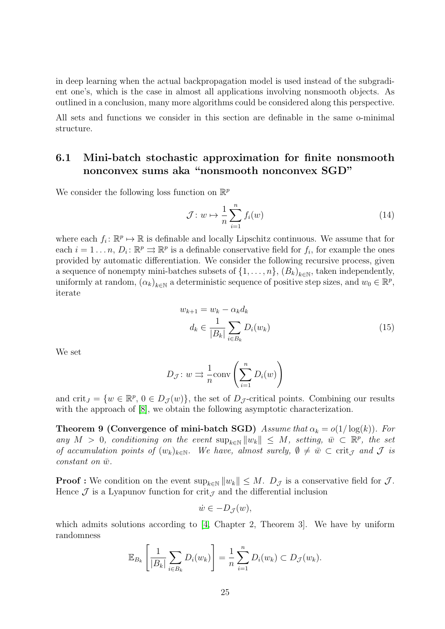in deep learning when the actual backpropagation model is used instead of the subgradient one's, which is the case in almost all applications involving nonsmooth objects. As outlined in a conclusion, many more algorithms could be considered along this perspective.

All sets and functions we consider in this section are definable in the same o-minimal structure.

## <span id="page-25-0"></span>6.1 Mini-batch stochastic approximation for finite nonsmooth nonconvex sums aka "nonsmooth nonconvex SGD"

We consider the following loss function on  $\mathbb{R}^p$ 

<span id="page-25-1"></span>
$$
\mathcal{J}: w \mapsto \frac{1}{n} \sum_{i=1}^{n} f_i(w) \tag{14}
$$

where each  $f_i: \mathbb{R}^p \mapsto \mathbb{R}$  is definable and locally Lipschitz continuous. We assume that for each  $i = 1 \dots n$ ,  $D_i: \mathbb{R}^p \rightrightarrows \mathbb{R}^p$  is a definable conservative field for  $f_i$ , for example the ones provided by automatic differentiation. We consider the following recursive process, given a sequence of nonempty mini-batches subsets of  $\{1, \ldots, n\}$ ,  $(B_k)_{k \in \mathbb{N}}$ , taken independently, uniformly at random,  $(\alpha_k)_{k \in \mathbb{N}}$  a deterministic sequence of positive step sizes, and  $w_0 \in \mathbb{R}^p$ , iterate

$$
w_{k+1} = w_k - \alpha_k d_k
$$
  

$$
d_k \in \frac{1}{|B_k|} \sum_{i \in B_k} D_i(w_k)
$$
 (15)

We set

$$
D_{\mathcal{J}}: w \Rightarrow \frac{1}{n} \text{conv}\left(\sum_{i=1}^{n} D_i(w)\right)
$$

and crit<sub>J</sub> = { $w \in \mathbb{R}^p$ ,  $0 \in D_{\mathcal{J}}(w)$ }, the set of  $D_{\mathcal{J}}$ -critical points. Combining our results with the approach of  $[8]$ , we obtain the following asymptotic characterization.

**Theorem 9 (Convergence of mini-batch SGD)** Assume that  $\alpha_k = o(1/\log(k))$ . For any  $M > 0$ , conditioning on the event  $\sup_{k \in \mathbb{N}} ||w_k|| \leq M$ , setting,  $\overline{w} \subset \mathbb{R}^p$ , the set of accumulation points of  $(w_k)_{k\in\mathbb{N}}$ . We have, almost surely,  $\emptyset \neq \overline{w} \subset \text{crit}_{\mathcal{J}}$  and  $\mathcal{J}$  is  $constant$  on  $\bar{w}$ .

**Proof :** We condition on the event  $\sup_{k \in \mathbb{N}} ||w_k|| \leq M$ .  $D_{\mathcal{J}}$  is a conservative field for  $\mathcal{J}$ . Hence  $\mathcal J$  is a Lyapunov function for crit<sub> $\mathcal I$ </sub> and the differential inclusion

<span id="page-25-2"></span>
$$
\dot{w} \in -D_{\mathcal{J}}(w),
$$

which admits solutions according to [\[4,](#page-31-5) Chapter 2, Theorem 3]. We have by uniform randomness

$$
\mathbb{E}_{B_k}\left[\frac{1}{|B_k|}\sum_{i\in B_k}D_i(w_k)\right] = \frac{1}{n}\sum_{i=1}^n D_i(w_k) \subset D_{\mathcal{J}}(w_k).
$$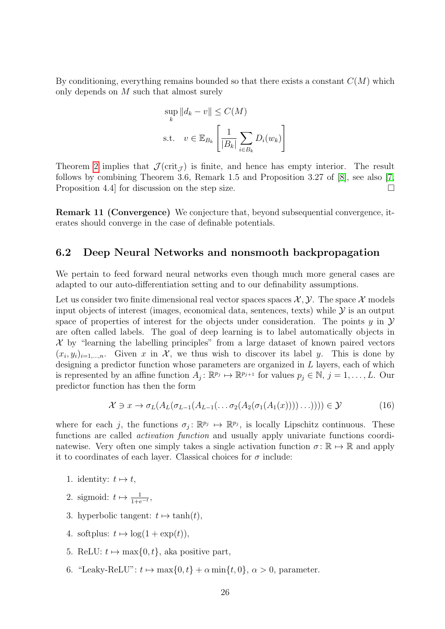By conditioning, everything remains bounded so that there exists a constant  $C(M)$  which only depends on M such that almost surely

$$
\sup_{k} ||d_k - v|| \le C(M)
$$
  
s.t.  $v \in \mathbb{E}_{B_k} \left[ \frac{1}{|B_k|} \sum_{i \in B_k} D_i(w_k) \right]$ 

Theorem [2](#page-16-3) implies that  $\mathcal{J}(\text{crit}_{\mathcal{J}})$  is finite, and hence has empty interior. The result follows by combining Theorem 3.6, Remark 1.5 and Proposition 3.27 of [\[8\]](#page-31-12), see also [\[7,](#page-31-14) Proposition 4.4 for discussion on the step size.  $\Box$ 

Remark 11 (Convergence) We conjecture that, beyond subsequential convergence, iterates should converge in the case of definable potentials.

#### <span id="page-26-0"></span>6.2 Deep Neural Networks and nonsmooth backpropagation

We pertain to feed forward neural networks even though much more general cases are adapted to our auto-differentiation setting and to our definability assumptions.

Let us consider two finite dimensional real vector spaces spaces  $\mathcal{X}, \mathcal{Y}$ . The space  $\mathcal{X}$  models input objects of interest (images, economical data, sentences, texts) while  $\mathcal Y$  is an output space of properties of interest for the objects under consideration. The points  $y$  in  $\mathcal Y$ are often called labels. The goal of deep learning is to label automatically objects in  $\mathcal X$  by "learning the labelling principles" from a large dataset of known paired vectors  $(x_i, y_i)_{i=1,\dots,n}$ . Given x in X, we thus wish to discover its label y. This is done by designing a predictor function whose parameters are organized in L layers, each of which is represented by an affine function  $A_j: \mathbb{R}^{p_j} \mapsto \mathbb{R}^{p_{j+1}}$  for values  $p_j \in \mathbb{N}, j = 1, \ldots, L$ . Our predictor function has then the form

<span id="page-26-1"></span>
$$
\mathcal{X} \ni x \to \sigma_L(A_L(\sigma_{L-1}(A_{L-1}(\ldots \sigma_2(A_2(\sigma_1(A_1(x))))\ldots)))) \in \mathcal{Y}
$$
\n(16)

where for each j, the functions  $\sigma_j: \mathbb{R}^{p_j} \mapsto \mathbb{R}^{p_j}$ , is locally Lipschitz continuous. These functions are called activation function and usually apply univariate functions coordinatewise. Very often one simply takes a single activation function  $\sigma : \mathbb{R} \to \mathbb{R}$  and apply it to coordinates of each layer. Classical choices for  $\sigma$  include:

- 1. identity:  $t \mapsto t$ ,
- 2. sigmoid:  $t \mapsto \frac{1}{1+e^{-t}},$
- 3. hyperbolic tangent:  $t \mapsto \tanh(t)$ ,
- 4. softplus:  $t \mapsto \log(1 + \exp(t)),$
- 5. ReLU:  $t \mapsto \max\{0, t\}$ , aka positive part,
- 6. "Leaky-ReLU":  $t \mapsto \max\{0, t\} + \alpha \min\{t, 0\}, \alpha > 0$ , parameter.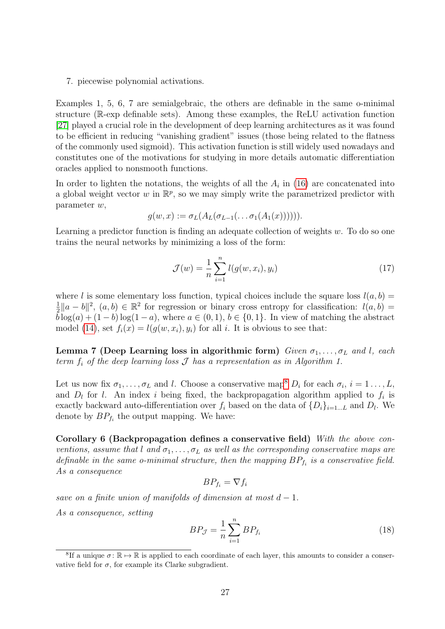7. piecewise polynomial activations.

Examples 1, 5, 6, 7 are semialgebraic, the others are definable in the same o-minimal structure (R-exp definable sets). Among these examples, the ReLU activation function [\[27\]](#page-32-12) played a crucial role in the development of deep learning architectures as it was found to be efficient in reducing "vanishing gradient" issues (those being related to the flatness of the commonly used sigmoid). This activation function is still widely used nowadays and constitutes one of the motivations for studying in more details automatic differentiation oracles applied to nonsmooth functions.

In order to lighten the notations, the weights of all the  $A_i$  in [\(16\)](#page-26-1) are concatenated into a global weight vector w in  $\mathbb{R}^p$ , so we may simply write the parametrized predictor with parameter w,

$$
g(w,x) := \sigma_L(A_L(\sigma_{L-1}(\ldots \sigma_1(A_1(x)))))
$$

Learning a predictor function is finding an adequate collection of weights  $w$ . To do so one trains the neural networks by minimizing a loss of the form:

$$
\mathcal{J}(w) = \frac{1}{n} \sum_{i=1}^{n} l(g(w, x_i), y_i)
$$
 (17)

where l is some elementary loss function, typical choices include the square loss  $l(a, b)$  = 1  $\frac{1}{2}||a-b||^2$ ,  $(a,b) \in \mathbb{R}^2$  for regression or binary cross entropy for classification:  $l(a,b)$  $\bar{b}\log(a) + (1-b)\log(1-a)$ , where  $a \in (0,1)$ ,  $b \in \{0,1\}$ . In view of matching the abstract model [\(14\)](#page-25-1), set  $f_i(x) = l(g(w, x_i), y_i)$  for all i. It is obvious to see that:

Lemma 7 (Deep Learning loss in algorithmic form) Given  $\sigma_1, \ldots, \sigma_L$  and l, each term  $f_i$  of the deep learning loss  $\mathcal J$  has a representation as in Algorithm 1.

Let us now fix  $\sigma_1, \ldots, \sigma_L$  and l. Choose a conservative map<sup>[8](#page-27-0)</sup>  $D_i$  for each  $\sigma_i$ ,  $i = 1 \ldots, L$ , and  $D_l$  for l. An index i being fixed, the backpropagation algorithm applied to  $f_i$  is exactly backward auto-differentiation over  $f_i$  based on the data of  $\{D_i\}_{i=1...L}$  and  $D_l$ . We denote by  $BP_{f_i}$  the output mapping. We have:

Corollary 6 (Backpropagation defines a conservative field) With the above conventions, assume that l and  $\sigma_1, \ldots, \sigma_L$  as well as the corresponding conservative maps are definable in the same o-minimal structure, then the mapping  $BP_{f_i}$  is a conservative field. As a consequence

<span id="page-27-1"></span>
$$
BP_{f_i} = \nabla f_i
$$

save on a finite union of manifolds of dimension at most  $d-1$ .

As a consequence, setting

<span id="page-27-2"></span>
$$
BP_{\mathcal{J}} = \frac{1}{n} \sum_{i=1}^{n} BP_{f_i}
$$
\n
$$
(18)
$$

<span id="page-27-0"></span><sup>&</sup>lt;sup>8</sup>If a unique  $\sigma: \mathbb{R} \to \mathbb{R}$  is applied to each coordinate of each layer, this amounts to consider a conservative field for  $\sigma$ , for example its Clarke subgradient.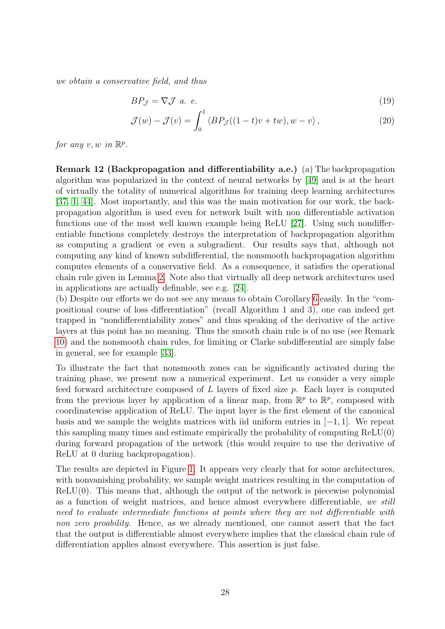we obtain a conservative field, and thus

$$
BP_{\mathcal{J}} = \nabla \mathcal{J} \quad a. \quad e. \tag{19}
$$

$$
\mathcal{J}(w) - \mathcal{J}(v) = \int_0^1 \langle BP_{\mathcal{J}}((1-t)v + tw), w - v \rangle, \qquad (20)
$$

for any  $v, w$  in  $\mathbb{R}^p$ .

Remark 12 (Backpropagation and differentiability a.e.) (a) The backpropagation algorithm was popularized in the context of neural networks by [\[49\]](#page-33-4) and is at the heart of virtually the totality of numerical algorithms for training deep learning architectures [\[37,](#page-33-5) [1,](#page-30-0) [44\]](#page-33-6). Most importantly, and this was the main motivation for our work, the backpropagation algorithm is used even for network built with non differentiable activation functions one of the most well known example being ReLU [\[27\]](#page-32-12). Using such nondifferentiable functions completely destroys the interpretation of backpropagation algorithm as computing a gradient or even a subgradient. Our results says that, although not computing any kind of known subdifferential, the nonsmooth backpropagation algorithm computes elements of a conservative field. As a consequence, it satisfies the operational chain rule given in Lemma [2.](#page-8-2) Note also that virtually all deep network architectures used in applications are actually definable, see e.g. [\[24\]](#page-32-3).

(b) Despite our efforts we do not see any means to obtain Corollary [6](#page-27-1) easily. In the "compositional course of loss differentiation" (recall Algorithm 1 and 3), one can indeed get trapped in "nondifferentiability zones" and thus speaking of the derivative of the active layers at this point has no meaning. Thus the smooth chain rule is of no use (see Remark [10\)](#page-24-2) and the nonsmooth chain rules, for limiting or Clarke subdifferential are simply false in general, see for example [\[33\]](#page-32-10).

To illustrate the fact that nonsmooth zones can be significantly activated during the training phase, we present now a numerical experiment. Let us consider a very simple feed forward architecture composed of L layers of fixed size p. Each layer is computed from the previous layer by application of a linear map, from  $\mathbb{R}^p$  to  $\mathbb{R}^p$ , composed with coordinatewise application of ReLU. The input layer is the first element of the canonical basis and we sample the weights matrices with iid uniform entries in  $[-1, 1]$ . We repeat this sampling many times and estimate empirically the probability of computing ReLU(0) during forward propagation of the network (this would require to use the derivative of ReLU at 0 during backpropagation).

The results are depicted in Figure [1.](#page-29-2) It appears very clearly that for some architectures, with nonvanishing probability, we sample weight matrices resulting in the computation of  $ReLU(0)$ . This means that, although the output of the network is piecewise polynomial as a function of weight matrices, and hence almost everywhere differentiable, we still need to evaluate intermediate functions at points where they are not differentiable with non zero proability. Hence, as we already mentioned, one cannot assert that the fact that the output is differentiable almost everywhere implies that the classical chain rule of differentiation applies almost everywhere. This assertion is just false.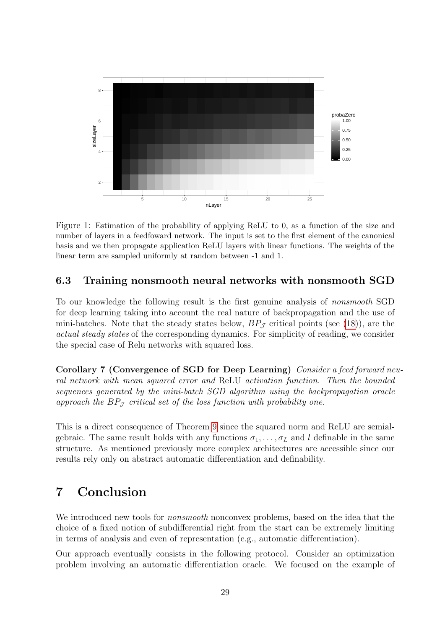

<span id="page-29-2"></span>Figure 1: Estimation of the probability of applying ReLU to 0, as a function of the size and number of layers in a feedfoward network. The input is set to the first element of the canonical basis and we then propagate application ReLU layers with linear functions. The weights of the linear term are sampled uniformly at random between -1 and 1.

### <span id="page-29-0"></span>6.3 Training nonsmooth neural networks with nonsmooth SGD

To our knowledge the following result is the first genuine analysis of nonsmooth SGD for deep learning taking into account the real nature of backpropagation and the use of mini-batches. Note that the steady states below,  $BP_{\mathcal{I}}$  critical points (see [\(18\)](#page-27-2)), are the actual steady states of the corresponding dynamics. For simplicity of reading, we consider the special case of Relu networks with squared loss.

Corollary 7 (Convergence of SGD for Deep Learning) Consider a feed forward neural network with mean squared error and ReLU activation function. Then the bounded sequences generated by the mini-batch SGD algorithm using the backpropagation oracle approach the  $BP_{\mathcal{J}}$  critical set of the loss function with probability one.

This is a direct consequence of Theorem [9](#page-25-2) since the squared norm and ReLU are semialgebraic. The same result holds with any functions  $\sigma_1, \ldots, \sigma_L$  and l definable in the same structure. As mentioned previously more complex architectures are accessible since our results rely only on abstract automatic differentiation and definability.

# <span id="page-29-1"></span>7 Conclusion

We introduced new tools for *nonsmooth* nonconvex problems, based on the idea that the choice of a fixed notion of subdifferential right from the start can be extremely limiting in terms of analysis and even of representation (e.g., automatic differentiation).

Our approach eventually consists in the following protocol. Consider an optimization problem involving an automatic differentiation oracle. We focused on the example of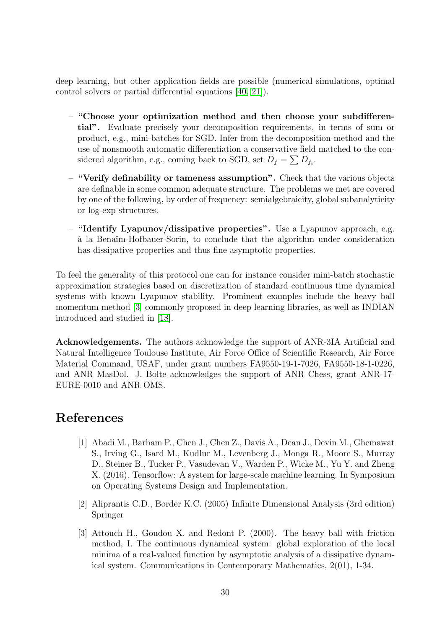deep learning, but other application fields are possible (numerical simulations, optimal control solvers or partial differential equations [\[40,](#page-33-14) [21\]](#page-32-13)).

- "Choose your optimization method and then choose your subdifferential". Evaluate precisely your decomposition requirements, in terms of sum or product, e.g., mini-batches for SGD. Infer from the decomposition method and the use of nonsmooth automatic differentiation a conservative field matched to the considered algorithm, e.g., coming back to SGD, set  $D_f = \sum D_{f_i}$ .
- "Verify definability or tameness assumption". Check that the various objects are definable in some common adequate structure. The problems we met are covered by one of the following, by order of frequency: semialgebraicity, global subanalyticity or log-exp structures.
- "Identify Lyapunov/dissipative properties". Use a Lyapunov approach, e.g. `a la Bena¨ım-Hofbauer-Sorin, to conclude that the algorithm under consideration has dissipative properties and thus fine asymptotic properties.

To feel the generality of this protocol one can for instance consider mini-batch stochastic approximation strategies based on discretization of standard continuous time dynamical systems with known Lyapunov stability. Prominent examples include the heavy ball momentum method [\[3\]](#page-30-2) commonly proposed in deep learning libraries, as well as INDIAN introduced and studied in [\[18\]](#page-31-7).

Acknowledgements. The authors acknowledge the support of ANR-3IA Artificial and Natural Intelligence Toulouse Institute, Air Force Office of Scientific Research, Air Force Material Command, USAF, under grant numbers FA9550-19-1-7026, FA9550-18-1-0226, and ANR MasDol. J. Bolte acknowledges the support of ANR Chess, grant ANR-17- EURE-0010 and ANR OMS.

## <span id="page-30-0"></span>References

- [1] Abadi M., Barham P., Chen J., Chen Z., Davis A., Dean J., Devin M., Ghemawat S., Irving G., Isard M., Kudlur M., Levenberg J., Monga R., Moore S., Murray D., Steiner B., Tucker P., Vasudevan V., Warden P., Wicke M., Yu Y. and Zheng X. (2016). Tensorflow: A system for large-scale machine learning. In Symposium on Operating Systems Design and Implementation.
- <span id="page-30-1"></span>[2] Aliprantis C.D., Border K.C. (2005) Infinite Dimensional Analysis (3rd edition) Springer
- <span id="page-30-2"></span>[3] Attouch H., Goudou X. and Redont P. (2000). The heavy ball with friction method, I. The continuous dynamical system: global exploration of the local minima of a real-valued function by asymptotic analysis of a dissipative dynamical system. Communications in Contemporary Mathematics, 2(01), 1-34.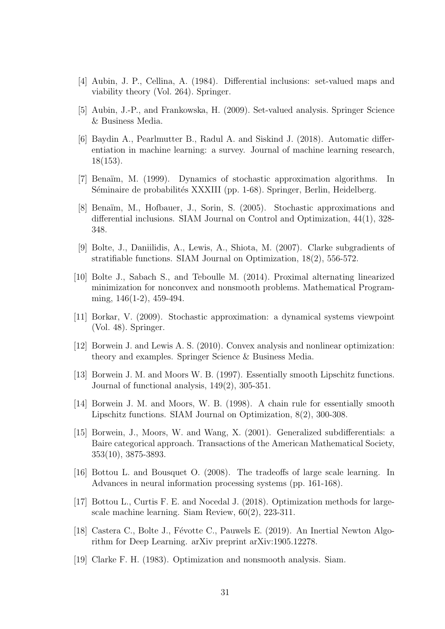- <span id="page-31-5"></span>[4] Aubin, J. P., Cellina, A. (1984). Differential inclusions: set-valued maps and viability theory (Vol. 264). Springer.
- <span id="page-31-0"></span>[5] Aubin, J.-P., and Frankowska, H. (2009). Set-valued analysis. Springer Science & Business Media.
- [6] Baydin A., Pearlmutter B., Radul A. and Siskind J. (2018). Automatic differentiation in machine learning: a survey. Journal of machine learning research, 18(153).
- <span id="page-31-14"></span>[7] Bena¨ım, M. (1999). Dynamics of stochastic approximation algorithms. In Séminaire de probabilités XXXIII (pp. 1-68). Springer, Berlin, Heidelberg.
- <span id="page-31-12"></span>[8] Bena¨ım, M., Hofbauer, J., Sorin, S. (2005). Stochastic approximations and differential inclusions. SIAM Journal on Control and Optimization, 44(1), 328- 348.
- <span id="page-31-4"></span>[9] Bolte, J., Daniilidis, A., Lewis, A., Shiota, M. (2007). Clarke subgradients of stratifiable functions. SIAM Journal on Optimization, 18(2), 556-572.
- <span id="page-31-10"></span>[10] Bolte J., Sabach S., and Teboulle M. (2014). Proximal alternating linearized minimization for nonconvex and nonsmooth problems. Mathematical Programming, 146(1-2), 459-494.
- <span id="page-31-13"></span>[11] Borkar, V. (2009). Stochastic approximation: a dynamical systems viewpoint (Vol. 48). Springer.
- <span id="page-31-1"></span>[12] Borwein J. and Lewis A. S. (2010). Convex analysis and nonlinear optimization: theory and examples. Springer Science & Business Media.
- <span id="page-31-8"></span>[13] Borwein J. M. and Moors W. B. (1997). Essentially smooth Lipschitz functions. Journal of functional analysis, 149(2), 305-351.
- <span id="page-31-9"></span>[14] Borwein J. M. and Moors, W. B. (1998). A chain rule for essentially smooth Lipschitz functions. SIAM Journal on Optimization, 8(2), 300-308.
- <span id="page-31-6"></span>[15] Borwein, J., Moors, W. and Wang, X. (2001). Generalized subdifferentials: a Baire categorical approach. Transactions of the American Mathematical Society, 353(10), 3875-3893.
- <span id="page-31-11"></span>[16] Bottou L. and Bousquet O. (2008). The tradeoffs of large scale learning. In Advances in neural information processing systems (pp. 161-168).
- <span id="page-31-3"></span>[17] Bottou L., Curtis F. E. and Nocedal J. (2018). Optimization methods for largescale machine learning. Siam Review, 60(2), 223-311.
- <span id="page-31-7"></span>[18] Castera C., Bolte J., Févotte C., Pauwels E. (2019). An Inertial Newton Algorithm for Deep Learning. arXiv preprint arXiv:1905.12278.
- <span id="page-31-2"></span>[19] Clarke F. H. (1983). Optimization and nonsmooth analysis. Siam.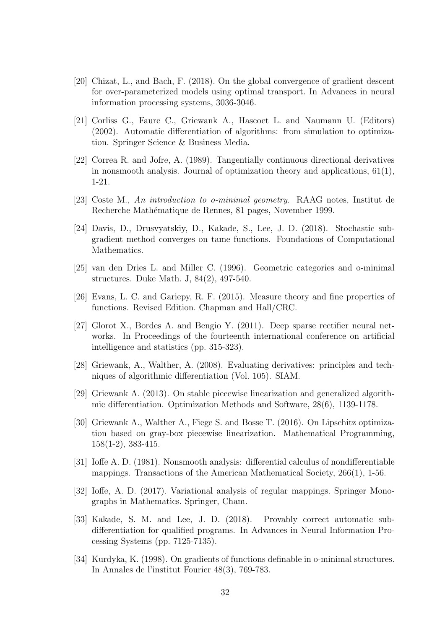- <span id="page-32-11"></span>[20] Chizat, L., and Bach, F. (2018). On the global convergence of gradient descent for over-parameterized models using optimal transport. In Advances in neural information processing systems, 3036-3046.
- <span id="page-32-13"></span>[21] Corliss G., Faure C., Griewank A., Hascoet L. and Naumann U. (Editors) (2002). Automatic differentiation of algorithms: from simulation to optimization. Springer Science & Business Media.
- <span id="page-32-5"></span>[22] Correa R. and Jofre, A. (1989). Tangentially continuous directional derivatives in nonsmooth analysis. Journal of optimization theory and applications, 61(1), 1-21.
- <span id="page-32-6"></span>[23] Coste M., An introduction to o-minimal geometry. RAAG notes, Institut de Recherche Mathématique de Rennes, 81 pages, November 1999.
- <span id="page-32-3"></span>[24] Davis, D., Drusvyatskiy, D., Kakade, S., Lee, J. D. (2018). Stochastic subgradient method converges on tame functions. Foundations of Computational Mathematics.
- <span id="page-32-7"></span>[25] van den Dries L. and Miller C. (1996). Geometric categories and o-minimal structures. Duke Math. J, 84(2), 497-540.
- <span id="page-32-4"></span>[26] Evans, L. C. and Gariepy, R. F. (2015). Measure theory and fine properties of functions. Revised Edition. Chapman and Hall/CRC.
- <span id="page-32-12"></span>[27] Glorot X., Bordes A. and Bengio Y. (2011). Deep sparse rectifier neural networks. In Proceedings of the fourteenth international conference on artificial intelligence and statistics (pp. 315-323).
- <span id="page-32-2"></span>[28] Griewank, A., Walther, A. (2008). Evaluating derivatives: principles and techniques of algorithmic differentiation (Vol. 105). SIAM.
- <span id="page-32-8"></span>[29] Griewank A. (2013). On stable piecewise linearization and generalized algorithmic differentiation. Optimization Methods and Software, 28(6), 1139-1178.
- <span id="page-32-9"></span>[30] Griewank A., Walther A., Fiege S. and Bosse T. (2016). On Lipschitz optimization based on gray-box piecewise linearization. Mathematical Programming, 158(1-2), 383-415.
- [31] Ioffe A. D. (1981). Nonsmooth analysis: differential calculus of nondifferentiable mappings. Transactions of the American Mathematical Society, 266(1), 1-56.
- <span id="page-32-0"></span>[32] Ioffe, A. D. (2017). Variational analysis of regular mappings. Springer Monographs in Mathematics. Springer, Cham.
- <span id="page-32-10"></span>[33] Kakade, S. M. and Lee, J. D. (2018). Provably correct automatic subdifferentiation for qualified programs. In Advances in Neural Information Processing Systems (pp. 7125-7135).
- <span id="page-32-1"></span>[34] Kurdyka, K. (1998). On gradients of functions definable in o-minimal structures. In Annales de l'institut Fourier 48(3), 769-783.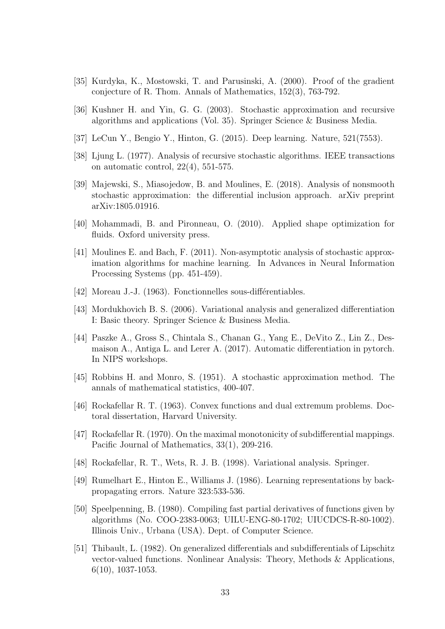- <span id="page-33-9"></span>[35] Kurdyka, K., Mostowski, T. and Parusinski, A. (2000). Proof of the gradient conjecture of R. Thom. Annals of Mathematics, 152(3), 763-792.
- <span id="page-33-13"></span>[36] Kushner H. and Yin, G. G. (2003). Stochastic approximation and recursive algorithms and applications (Vol. 35). Springer Science & Business Media.
- <span id="page-33-5"></span>[37] LeCun Y., Bengio Y., Hinton, G. (2015). Deep learning. Nature, 521(7553).
- <span id="page-33-12"></span>[38] Ljung L. (1977). Analysis of recursive stochastic algorithms. IEEE transactions on automatic control, 22(4), 551-575.
- <span id="page-33-11"></span>[39] Majewski, S., Miasojedow, B. and Moulines, E. (2018). Analysis of nonsmooth stochastic approximation: the differential inclusion approach. arXiv preprint arXiv:1805.01916.
- <span id="page-33-14"></span>[40] Mohammadi, B. and Pironneau, O. (2010). Applied shape optimization for fluids. Oxford university press.
- <span id="page-33-10"></span>[41] Moulines E. and Bach, F. (2011). Non-asymptotic analysis of stochastic approximation algorithms for machine learning. In Advances in Neural Information Processing Systems (pp. 451-459).
- <span id="page-33-0"></span>[42] Moreau J.-J. (1963). Fonctionnelles sous-différentiables.
- <span id="page-33-2"></span>[43] Mordukhovich B. S. (2006). Variational analysis and generalized differentiation I: Basic theory. Springer Science & Business Media.
- <span id="page-33-6"></span>[44] Paszke A., Gross S., Chintala S., Chanan G., Yang E., DeVito Z., Lin Z., Desmaison A., Antiga L. and Lerer A. (2017). Automatic differentiation in pytorch. In NIPS workshops.
- [45] Robbins H. and Monro, S. (1951). A stochastic approximation method. The annals of mathematical statistics, 400-407.
- <span id="page-33-1"></span>[46] Rockafellar R. T. (1963). Convex functions and dual extremum problems. Doctoral dissertation, Harvard University.
- <span id="page-33-8"></span>[47] Rockafellar R. (1970). On the maximal monotonicity of subdifferential mappings. Pacific Journal of Mathematics, 33(1), 209-216.
- <span id="page-33-3"></span>[48] Rockafellar, R. T., Wets, R. J. B. (1998). Variational analysis. Springer.
- <span id="page-33-4"></span>[49] Rumelhart E., Hinton E., Williams J. (1986). Learning representations by backpropagating errors. Nature 323:533-536.
- [50] Speelpenning, B. (1980). Compiling fast partial derivatives of functions given by algorithms (No. COO-2383-0063; UILU-ENG-80-1702; UIUCDCS-R-80-1002). Illinois Univ., Urbana (USA). Dept. of Computer Science.
- <span id="page-33-7"></span>[51] Thibault, L. (1982). On generalized differentials and subdifferentials of Lipschitz vector-valued functions. Nonlinear Analysis: Theory, Methods & Applications, 6(10), 1037-1053.